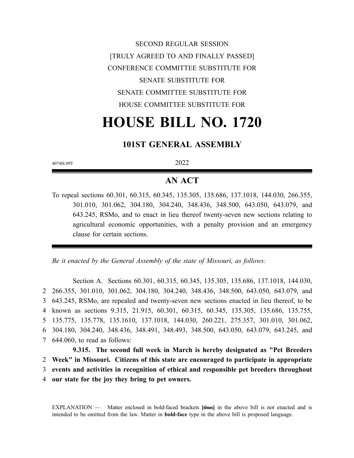SECOND REGULAR SESSION [TRULY AGREED TO AND FINALLY PASSED] CONFERENCE COMMITTEE SUBSTITUTE FOR SENATE SUBSTITUTE FOR SENATE COMMITTEE SUBSTITUTE FOR HOUSE COMMITTEE SUBSTITUTE FOR

# **HOUSE BILL NO. 1720**

## **101ST GENERAL ASSEMBLY**

4074H.09T 2022

## **AN ACT**

To repeal sections 60.301, 60.315, 60.345, 135.305, 135.686, 137.1018, 144.030, 266.355, 301.010, 301.062, 304.180, 304.240, 348.436, 348.500, 643.050, 643.079, and 643.245, RSMo, and to enact in lieu thereof twenty-seven new sections relating to agricultural economic opportunities, with a penalty provision and an emergency clause for certain sections.

*Be it enacted by the General Assembly of the state of Missouri, as follows:*

Section A. Sections 60.301, 60.315, 60.345, 135.305, 135.686, 137.1018, 144.030, 266.355, 301.010, 301.062, 304.180, 304.240, 348.436, 348.500, 643.050, 643.079, and 643.245, RSMo, are repealed and twenty-seven new sections enacted in lieu thereof, to be known as sections 9.315, 21.915, 60.301, 60.315, 60.345, 135.305, 135.686, 135.755, 135.775, 135.778, 135.1610, 137.1018, 144.030, 260.221, 275.357, 301.010, 301.062, 304.180, 304.240, 348.436, 348.491, 348.493, 348.500, 643.050, 643.079, 643.245, and 644.060, to read as follows:

**9.315. The second full week in March is hereby designated as "Pet Breeders Week" in Missouri. Citizens of this state are encouraged to participate in appropriate events and activities in recognition of ethical and responsible pet breeders throughout our state for the joy they bring to pet owners.**

EXPLANATION — Matter enclosed in bold-faced brackets **[**thus**]** in the above bill is not enacted and is intended to be omitted from the law. Matter in **bold-face** type in the above bill is proposed language.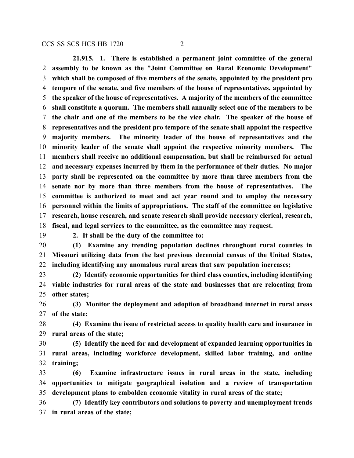**21.915. 1. There is established a permanent joint committee of the general assembly to be known as the "Joint Committee on Rural Economic Development" which shall be composed of five members of the senate, appointed by the president pro tempore of the senate, and five members of the house of representatives, appointed by the speaker of the house of representatives. A majority of the members of the committee shall constitute a quorum. The members shall annually select one of the members to be the chair and one of the members to be the vice chair. The speaker of the house of representatives and the president pro tempore of the senate shall appoint the respective majority members. The minority leader of the house of representatives and the minority leader of the senate shall appoint the respective minority members. The members shall receive no additional compensation, but shall be reimbursed for actual and necessary expenses incurred by them in the performance of their duties. No major party shall be represented on the committee by more than three members from the senate nor by more than three members from the house of representatives. The committee is authorized to meet and act year round and to employ the necessary personnel within the limits of appropriations. The staff of the committee on legislative research, house research, and senate research shall provide necessary clerical, research, fiscal, and legal services to the committee, as the committee may request.**

**2. It shall be the duty of the committee to:**

 **(1) Examine any trending population declines throughout rural counties in Missouri utilizing data from the last previous decennial census of the United States, including identifying any anomalous rural areas that saw population increases;**

 **(2) Identify economic opportunities for third class counties, including identifying viable industries for rural areas of the state and businesses that are relocating from other states;**

 **(3) Monitor the deployment and adoption of broadband internet in rural areas of the state;**

 **(4) Examine the issue of restricted access to quality health care and insurance in rural areas of the state;**

 **(5) Identify the need for and development of expanded learning opportunities in rural areas, including workforce development, skilled labor training, and online training;**

 **(6) Examine infrastructure issues in rural areas in the state, including opportunities to mitigate geographical isolation and a review of transportation development plans to embolden economic vitality in rural areas of the state;**

 **(7) Identify key contributors and solutions to poverty and unemployment trends in rural areas of the state;**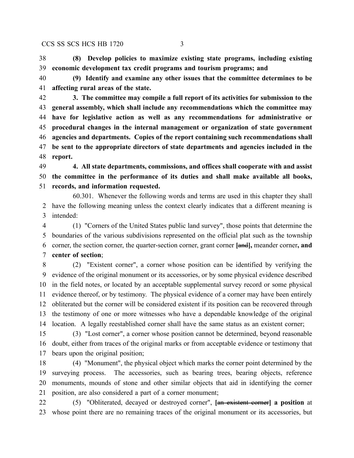**(8) Develop policies to maximize existing state programs, including existing economic development tax credit programs and tourism programs; and**

 **(9) Identify and examine any other issues that the committee determines to be affecting rural areas of the state.**

 **3. The committee may compile a full report of its activities for submission to the general assembly, which shall include any recommendations which the committee may have for legislative action as well as any recommendations for administrative or procedural changes in the internal management or organization of state government agencies and departments. Copies of the report containing such recommendations shall be sent to the appropriate directors of state departments and agencies included in the report.**

 **4. All state departments, commissions, and offices shall cooperate with and assist the committee in the performance of its duties and shall make available all books, records, and information requested.**

60.301. Whenever the following words and terms are used in this chapter they shall have the following meaning unless the context clearly indicates that a different meaning is intended:

 (1) "Corners of the United States public land survey", those points that determine the boundaries of the various subdivisions represented on the official plat such as the township corner, the section corner, the quarter-section corner, grant corner **[**and**],** meander corner**, and center of section**;

 (2) "Existent corner", a corner whose position can be identified by verifying the evidence of the original monument or its accessories, or by some physical evidence described in the field notes, or located by an acceptable supplemental survey record or some physical evidence thereof, or by testimony. The physical evidence of a corner may have been entirely obliterated but the corner will be considered existent if its position can be recovered through the testimony of one or more witnesses who have a dependable knowledge of the original location. A legally reestablished corner shall have the same status as an existent corner;

 (3) "Lost corner", a corner whose position cannot be determined, beyond reasonable doubt, either from traces of the original marks or from acceptable evidence or testimony that bears upon the original position;

 (4) "Monument", the physical object which marks the corner point determined by the surveying process. The accessories, such as bearing trees, bearing objects, reference monuments, mounds of stone and other similar objects that aid in identifying the corner position, are also considered a part of a corner monument;

 (5) "Obliterated, decayed or destroyed corner", **[**an existent corner**] a position** at whose point there are no remaining traces of the original monument or its accessories, but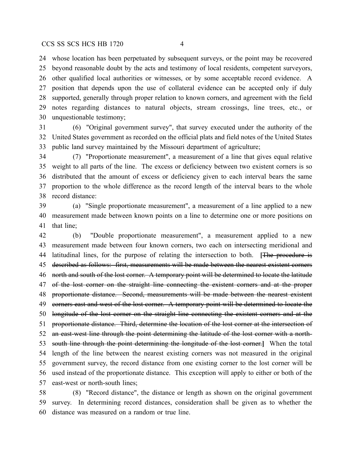whose location has been perpetuated by subsequent surveys, or the point may be recovered beyond reasonable doubt by the acts and testimony of local residents, competent surveyors, other qualified local authorities or witnesses, or by some acceptable record evidence. A position that depends upon the use of collateral evidence can be accepted only if duly supported, generally through proper relation to known corners, and agreement with the field notes regarding distances to natural objects, stream crossings, line trees, etc., or unquestionable testimony;

 (6) "Original government survey", that survey executed under the authority of the United States government as recorded on the official plats and field notes of the United States public land survey maintained by the Missouri department of agriculture;

 (7) "Proportionate measurement", a measurement of a line that gives equal relative weight to all parts of the line. The excess or deficiency between two existent corners is so distributed that the amount of excess or deficiency given to each interval bears the same proportion to the whole difference as the record length of the interval bears to the whole record distance:

 (a) "Single proportionate measurement", a measurement of a line applied to a new measurement made between known points on a line to determine one or more positions on that line;

 (b) "Double proportionate measurement", a measurement applied to a new measurement made between four known corners, two each on intersecting meridional and latitudinal lines, for the purpose of relating the intersection to both. **[**The procedure is described as follows: first, measurements will be made between the nearest existent corners 46 north and south of the lost corner. A temporary point will be determined to locate the latitude 47 of the lost corner on the straight line connecting the existent corners and at the proper proportionate distance. Second, measurements will be made between the nearest existent 49 corners east and west of the lost corner. A temporary point will be determined to locate the longitude of the lost corner on the straight line connecting the existent corners and at the 51 proportionate distance. Third, determine the location of the lost corner at the intersection of 52 an east-west line through the point determining the latitude of the lost corner with a north- south line through the point determining the longitude of the lost corner.**]** When the total length of the line between the nearest existing corners was not measured in the original government survey, the record distance from one existing corner to the lost corner will be used instead of the proportionate distance. This exception will apply to either or both of the east-west or north-south lines;

 (8) "Record distance", the distance or length as shown on the original government survey. In determining record distances, consideration shall be given as to whether the distance was measured on a random or true line.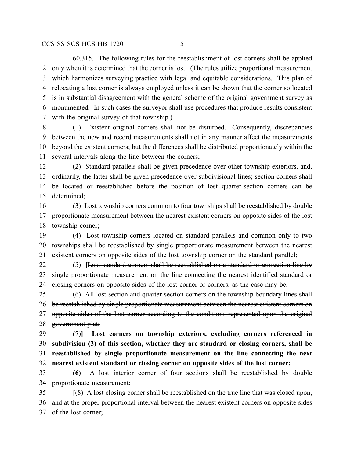60.315. The following rules for the reestablishment of lost corners shall be applied only when it is determined that the corner is lost: (The rules utilize proportional measurement which harmonizes surveying practice with legal and equitable considerations. This plan of relocating a lost corner is always employed unless it can be shown that the corner so located is in substantial disagreement with the general scheme of the original government survey as monumented. In such cases the surveyor shall use procedures that produce results consistent with the original survey of that township.)

 (1) Existent original corners shall not be disturbed. Consequently, discrepancies between the new and record measurements shall not in any manner affect the measurements beyond the existent corners; but the differences shall be distributed proportionately within the several intervals along the line between the corners;

 (2) Standard parallels shall be given precedence over other township exteriors, and, ordinarily, the latter shall be given precedence over subdivisional lines; section corners shall be located or reestablished before the position of lost quarter-section corners can be determined;

 (3) Lost township corners common to four townships shall be reestablished by double proportionate measurement between the nearest existent corners on opposite sides of the lost township corner;

 (4) Lost township corners located on standard parallels and common only to two townships shall be reestablished by single proportionate measurement between the nearest existent corners on opposite sides of the lost township corner on the standard parallel;

 (5) **[**Lost standard corners shall be reestablished on a standard or correction line by 23 single proportionate measurement on the line connecting the nearest identified standard or 24 closing corners on opposite sides of the lost corner or corners, as the case may be;

 (6) All lost section and quarter-section corners on the township boundary lines shall 26 be reestablished by single proportionate measurement between the nearest existent corners on opposite sides of the lost corner according to the conditions represented upon the original 28 government plat;

 (7)**] Lost corners on township exteriors, excluding corners referenced in subdivision (3) of this section, whether they are standard or closing corners, shall be reestablished by single proportionate measurement on the line connecting the next nearest existent standard or closing corner on opposite sides of the lost corner;**

 **(6)** A lost interior corner of four sections shall be reestablished by double proportionate measurement;

 **[**(8) A lost closing corner shall be reestablished on the true line that was closed upon, and at the proper proportional interval between the nearest existent corners on opposite sides 37 of the lost corner;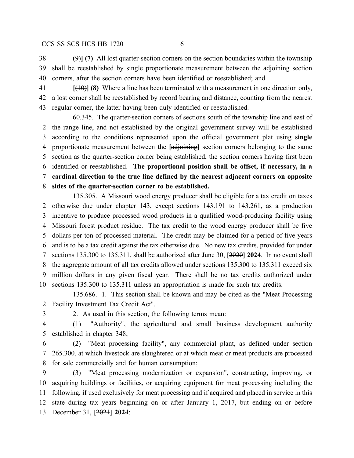(9)**] (7)** All lost quarter-section corners on the section boundaries within the township shall be reestablished by single proportionate measurement between the adjoining section corners, after the section corners have been identified or reestablished; and

 **[**(10)**] (8)** Where a line has been terminated with a measurement in one direction only, a lost corner shall be reestablished by record bearing and distance, counting from the nearest regular corner, the latter having been duly identified or reestablished.

60.345. The quarter-section corners of sections south of the township line and east of the range line, and not established by the original government survey will be established according to the conditions represented upon the official government plat using **single** proportionate measurement between the **[**adjoining**]** section corners belonging to the same section as the quarter-section corner being established, the section corners having first been identified or reestablished. **The proportional position shall be offset, if necessary, in a cardinal direction to the true line defined by the nearest adjacent corners on opposite sides of the quarter-section corner to be established.**

135.305. A Missouri wood energy producer shall be eligible for a tax credit on taxes otherwise due under chapter 143, except sections 143.191 to 143.261, as a production incentive to produce processed wood products in a qualified wood-producing facility using Missouri forest product residue. The tax credit to the wood energy producer shall be five dollars per ton of processed material. The credit may be claimed for a period of five years and is to be a tax credit against the tax otherwise due. No new tax credits, provided for under sections 135.300 to 135.311, shall be authorized after June 30, **[**2020**] 2024**. In no event shall the aggregate amount of all tax credits allowed under sections 135.300 to 135.311 exceed six million dollars in any given fiscal year. There shall be no tax credits authorized under sections 135.300 to 135.311 unless an appropriation is made for such tax credits.

135.686. 1. This section shall be known and may be cited as the "Meat Processing Facility Investment Tax Credit Act".

2. As used in this section, the following terms mean:

 (1) "Authority", the agricultural and small business development authority established in chapter 348;

 (2) "Meat processing facility", any commercial plant, as defined under section 265.300, at which livestock are slaughtered or at which meat or meat products are processed for sale commercially and for human consumption;

 (3) "Meat processing modernization or expansion", constructing, improving, or acquiring buildings or facilities, or acquiring equipment for meat processing including the following, if used exclusively for meat processing and if acquired and placed in service in this state during tax years beginning on or after January 1, 2017, but ending on or before December 31, **[**2021**] 2024**: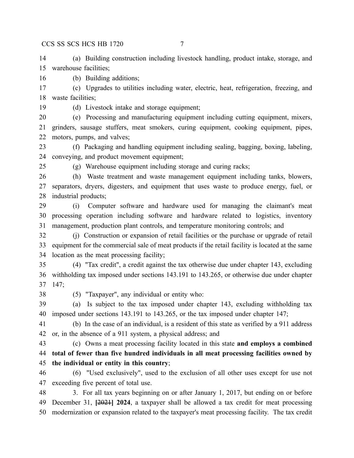(a) Building construction including livestock handling, product intake, storage, and warehouse facilities;

(b) Building additions;

 (c) Upgrades to utilities including water, electric, heat, refrigeration, freezing, and waste facilities;

(d) Livestock intake and storage equipment;

 (e) Processing and manufacturing equipment including cutting equipment, mixers, grinders, sausage stuffers, meat smokers, curing equipment, cooking equipment, pipes, motors, pumps, and valves;

 (f) Packaging and handling equipment including sealing, bagging, boxing, labeling, conveying, and product movement equipment;

(g) Warehouse equipment including storage and curing racks;

 (h) Waste treatment and waste management equipment including tanks, blowers, separators, dryers, digesters, and equipment that uses waste to produce energy, fuel, or industrial products;

 (i) Computer software and hardware used for managing the claimant's meat processing operation including software and hardware related to logistics, inventory management, production plant controls, and temperature monitoring controls; and

 (j) Construction or expansion of retail facilities or the purchase or upgrade of retail equipment for the commercial sale of meat products if the retail facility is located at the same location as the meat processing facility;

 (4) "Tax credit", a credit against the tax otherwise due under chapter 143, excluding withholding tax imposed under sections 143.191 to 143.265, or otherwise due under chapter 147;

(5) "Taxpayer", any individual or entity who:

 (a) Is subject to the tax imposed under chapter 143, excluding withholding tax imposed under sections 143.191 to 143.265, or the tax imposed under chapter 147;

 (b) In the case of an individual, is a resident of this state as verified by a 911 address or, in the absence of a 911 system, a physical address; and

 (c) Owns a meat processing facility located in this state **and employs a combined total of fewer than five hundred individuals in all meat processing facilities owned by the individual or entity in this country**;

 (6) "Used exclusively", used to the exclusion of all other uses except for use not exceeding five percent of total use.

 3. For all tax years beginning on or after January 1, 2017, but ending on or before December 31, **[**2021**] 2024**, a taxpayer shall be allowed a tax credit for meat processing modernization or expansion related to the taxpayer's meat processing facility. The tax credit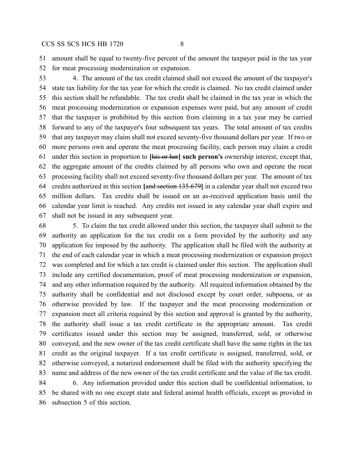amount shall be equal to twenty-five percent of the amount the taxpayer paid in the tax year for meat processing modernization or expansion.

 4. The amount of the tax credit claimed shall not exceed the amount of the taxpayer's state tax liability for the tax year for which the credit is claimed. No tax credit claimed under this section shall be refundable. The tax credit shall be claimed in the tax year in which the meat processing modernization or expansion expenses were paid, but any amount of credit that the taxpayer is prohibited by this section from claiming in a tax year may be carried forward to any of the taxpayer's four subsequent tax years. The total amount of tax credits that any taxpayer may claim shall not exceed seventy-five thousand dollars per year. If two or more persons own and operate the meat processing facility, each person may claim a credit under this section in proportion to **[**his or her**] such person's** ownership interest; except that, the aggregate amount of the credits claimed by all persons who own and operate the meat processing facility shall not exceed seventy-five thousand dollars per year. The amount of tax credits authorized in this section **[**and section 135.679**]** in a calendar year shall not exceed two million dollars. Tax credits shall be issued on an as-received application basis until the calendar year limit is reached. Any credits not issued in any calendar year shall expire and shall not be issued in any subsequent year.

 5. To claim the tax credit allowed under this section, the taxpayer shall submit to the authority an application for the tax credit on a form provided by the authority and any application fee imposed by the authority. The application shall be filed with the authority at the end of each calendar year in which a meat processing modernization or expansion project was completed and for which a tax credit is claimed under this section. The application shall include any certified documentation, proof of meat processing modernization or expansion, and any other information required by the authority. All required information obtained by the authority shall be confidential and not disclosed except by court order, subpoena, or as otherwise provided by law. If the taxpayer and the meat processing modernization or expansion meet all criteria required by this section and approval is granted by the authority, the authority shall issue a tax credit certificate in the appropriate amount. Tax credit certificates issued under this section may be assigned, transferred, sold, or otherwise conveyed, and the new owner of the tax credit certificate shall have the same rights in the tax credit as the original taxpayer. If a tax credit certificate is assigned, transferred, sold, or otherwise conveyed, a notarized endorsement shall be filed with the authority specifying the name and address of the new owner of the tax credit certificate and the value of the tax credit. 6. Any information provided under this section shall be confidential information, to

 be shared with no one except state and federal animal health officials, except as provided in subsection 5 of this section.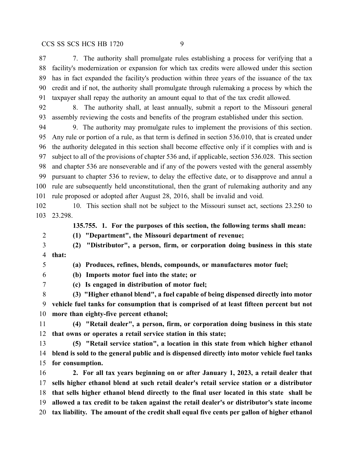7. The authority shall promulgate rules establishing a process for verifying that a facility's modernization or expansion for which tax credits were allowed under this section has in fact expanded the facility's production within three years of the issuance of the tax credit and if not, the authority shall promulgate through rulemaking a process by which the taxpayer shall repay the authority an amount equal to that of the tax credit allowed.

 8. The authority shall, at least annually, submit a report to the Missouri general assembly reviewing the costs and benefits of the program established under this section.

 9. The authority may promulgate rules to implement the provisions of this section. Any rule or portion of a rule, as that term is defined in section 536.010, that is created under the authority delegated in this section shall become effective only if it complies with and is subject to all of the provisions of chapter 536 and, if applicable, section 536.028. This section and chapter 536 are nonseverable and if any of the powers vested with the general assembly pursuant to chapter 536 to review, to delay the effective date, or to disapprove and annul a rule are subsequently held unconstitutional, then the grant of rulemaking authority and any rule proposed or adopted after August 28, 2016, shall be invalid and void.

 10. This section shall not be subject to the Missouri sunset act, sections 23.250 to 23.298.

**135.755. 1. For the purposes of this section, the following terms shall mean:**

**(1) "Department", the Missouri department of revenue;**

 **(2) "Distributor", a person, firm, or corporation doing business in this state that:**

 **(a) Produces, refines, blends, compounds, or manufactures motor fuel; (b) Imports motor fuel into the state; or**

**(c) Is engaged in distribution of motor fuel;**

 **(3) "Higher ethanol blend", a fuel capable of being dispensed directly into motor vehicle fuel tanks for consumption that is comprised of at least fifteen percent but not more than eighty-five percent ethanol;**

 **(4) "Retail dealer", a person, firm, or corporation doing business in this state that owns or operates a retail service station in this state;**

 **(5) "Retail service station", a location in this state from which higher ethanol blend is sold to the general public and is dispensed directly into motor vehicle fuel tanks for consumption.**

 **2. For all tax years beginning on or after January 1, 2023, a retail dealer that sells higher ethanol blend at such retail dealer's retail service station or a distributor that sells higher ethanol blend directly to the final user located in this state shall be allowed a tax credit to be taken against the retail dealer's or distributor's state income tax liability. The amount of the credit shall equal five cents per gallon of higher ethanol**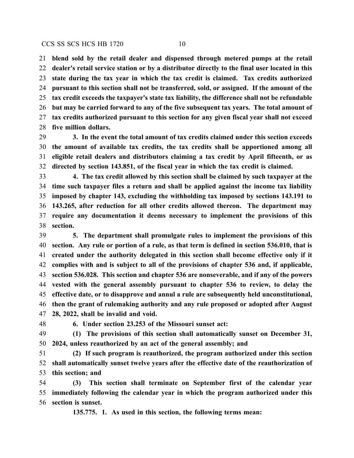**blend sold by the retail dealer and dispensed through metered pumps at the retail dealer's retail service station or by a distributor directly to the final user located in this state during the tax year in which the tax credit is claimed. Tax credits authorized pursuant to this section shall not be transferred, sold, or assigned. If the amount of the tax credit exceeds the taxpayer's state tax liability, the difference shall not be refundable but may be carried forward to any of the five subsequent tax years. The total amount of tax credits authorized pursuant to this section for any given fiscal year shall not exceed five million dollars.**

 **3. In the event the total amount of tax credits claimed under this section exceeds the amount of available tax credits, the tax credits shall be apportioned among all eligible retail dealers and distributors claiming a tax credit by April fifteenth, or as directed by section 143.851, of the fiscal year in which the tax credit is claimed.**

 **4. The tax credit allowed by this section shall be claimed by such taxpayer at the time such taxpayer files a return and shall be applied against the income tax liability imposed by chapter 143, excluding the withholding tax imposed by sections 143.191 to 143.265, after reduction for all other credits allowed thereon. The department may require any documentation it deems necessary to implement the provisions of this section.**

 **5. The department shall promulgate rules to implement the provisions of this section. Any rule or portion of a rule, as that term is defined in section 536.010, that is created under the authority delegated in this section shall become effective only if it complies with and is subject to all of the provisions of chapter 536 and, if applicable, section 536.028. This section and chapter 536 are nonseverable, and if any of the powers vested with the general assembly pursuant to chapter 536 to review, to delay the effective date, or to disapprove and annul a rule are subsequently held unconstitutional, then the grant of rulemaking authority and any rule proposed or adopted after August 28, 2022, shall be invalid and void.**

**6. Under section 23.253 of the Missouri sunset act:**

 **(1) The provisions of this section shall automatically sunset on December 31, 2024, unless reauthorized by an act of the general assembly; and**

 **(2) If such program is reauthorized, the program authorized under this section shall automatically sunset twelve years after the effective date of the reauthorization of this section; and**

 **(3) This section shall terminate on September first of the calendar year immediately following the calendar year in which the program authorized under this section is sunset.**

**135.775. 1. As used in this section, the following terms mean:**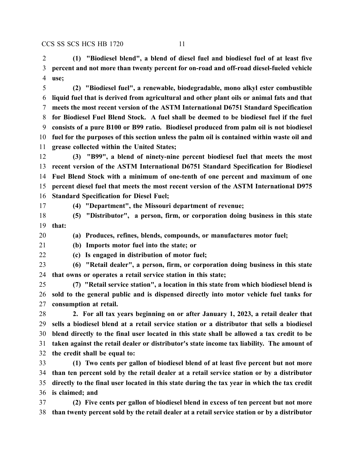**(1) "Biodiesel blend", a blend of diesel fuel and biodiesel fuel of at least five percent and not more than twenty percent for on-road and off-road diesel-fueled vehicle use;**

 **(2) "Biodiesel fuel", a renewable, biodegradable, mono alkyl ester combustible liquid fuel that is derived from agricultural and other plant oils or animal fats and that meets the most recent version of the ASTM International D6751 Standard Specification for Biodiesel Fuel Blend Stock. A fuel shall be deemed to be biodiesel fuel if the fuel consists of a pure B100 or B99 ratio. Biodiesel produced from palm oil is not biodiesel fuel for the purposes of this section unless the palm oil is contained within waste oil and grease collected within the United States;**

 **(3) "B99", a blend of ninety-nine percent biodiesel fuel that meets the most recent version of the ASTM International D6751 Standard Specification for Biodiesel Fuel Blend Stock with a minimum of one-tenth of one percent and maximum of one percent diesel fuel that meets the most recent version of the ASTM International D975 Standard Specification for Diesel Fuel;**

**(4) "Department", the Missouri department of revenue;**

- **(5) "Distributor", a person, firm, or corporation doing business in this state that:**
- **(a) Produces, refines, blends, compounds, or manufactures motor fuel;**

**(b) Imports motor fuel into the state; or**

**(c) Is engaged in distribution of motor fuel;**

 **(6) "Retail dealer", a person, firm, or corporation doing business in this state that owns or operates a retail service station in this state;**

 **(7) "Retail service station", a location in this state from which biodiesel blend is sold to the general public and is dispensed directly into motor vehicle fuel tanks for consumption at retail.**

 **2. For all tax years beginning on or after January 1, 2023, a retail dealer that sells a biodiesel blend at a retail service station or a distributor that sells a biodiesel blend directly to the final user located in this state shall be allowed a tax credit to be taken against the retail dealer or distributor's state income tax liability. The amount of the credit shall be equal to:**

 **(1) Two cents per gallon of biodiesel blend of at least five percent but not more than ten percent sold by the retail dealer at a retail service station or by a distributor directly to the final user located in this state during the tax year in which the tax credit is claimed; and**

 **(2) Five cents per gallon of biodiesel blend in excess of ten percent but not more than twenty percent sold by the retail dealer at a retail service station or by a distributor**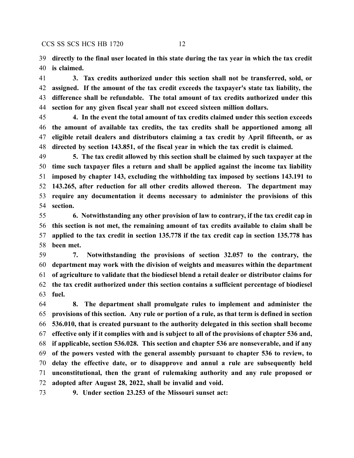**directly to the final user located in this state during the tax year in which the tax credit is claimed.**

 **3. Tax credits authorized under this section shall not be transferred, sold, or assigned. If the amount of the tax credit exceeds the taxpayer's state tax liability, the difference shall be refundable. The total amount of tax credits authorized under this section for any given fiscal year shall not exceed sixteen million dollars.**

 **4. In the event the total amount of tax credits claimed under this section exceeds the amount of available tax credits, the tax credits shall be apportioned among all eligible retail dealers and distributors claiming a tax credit by April fifteenth, or as directed by section 143.851, of the fiscal year in which the tax credit is claimed.**

 **5. The tax credit allowed by this section shall be claimed by such taxpayer at the time such taxpayer files a return and shall be applied against the income tax liability imposed by chapter 143, excluding the withholding tax imposed by sections 143.191 to 143.265, after reduction for all other credits allowed thereon. The department may require any documentation it deems necessary to administer the provisions of this section.**

 **6. Notwithstanding any other provision of law to contrary, if the tax credit cap in this section is not met, the remaining amount of tax credits available to claim shall be applied to the tax credit in section 135.778 if the tax credit cap in section 135.778 has been met.**

 **7. Notwithstanding the provisions of section 32.057 to the contrary, the department may work with the division of weights and measures within the department of agriculture to validate that the biodiesel blend a retail dealer or distributor claims for the tax credit authorized under this section contains a sufficient percentage of biodiesel fuel.**

 **8. The department shall promulgate rules to implement and administer the provisions of this section. Any rule or portion of a rule, as that term is defined in section 536.010, that is created pursuant to the authority delegated in this section shall become effective only if it complies with and is subject to all of the provisions of chapter 536 and, if applicable, section 536.028. This section and chapter 536 are nonseverable, and if any of the powers vested with the general assembly pursuant to chapter 536 to review, to delay the effective date, or to disapprove and annul a rule are subsequently held unconstitutional, then the grant of rulemaking authority and any rule proposed or adopted after August 28, 2022, shall be invalid and void.**

**9. Under section 23.253 of the Missouri sunset act:**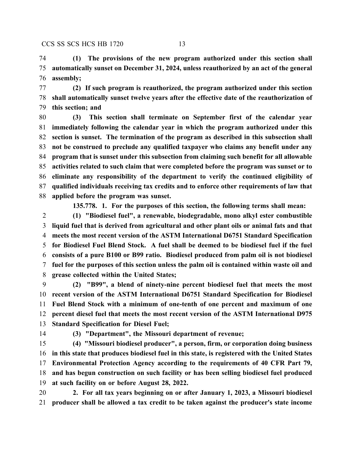**(1) The provisions of the new program authorized under this section shall automatically sunset on December 31, 2024, unless reauthorized by an act of the general assembly;**

 **(2) If such program is reauthorized, the program authorized under this section shall automatically sunset twelve years after the effective date of the reauthorization of this section; and**

 **(3) This section shall terminate on September first of the calendar year immediately following the calendar year in which the program authorized under this section is sunset. The termination of the program as described in this subsection shall not be construed to preclude any qualified taxpayer who claims any benefit under any program that is sunset under this subsection from claiming such benefit for all allowable activities related to such claim that were completed before the program was sunset or to eliminate any responsibility of the department to verify the continued eligibility of qualified individuals receiving tax credits and to enforce other requirements of law that applied before the program was sunset.**

**135.778. 1. For the purposes of this section, the following terms shall mean:**

 **(1) "Biodiesel fuel", a renewable, biodegradable, mono alkyl ester combustible liquid fuel that is derived from agricultural and other plant oils or animal fats and that meets the most recent version of the ASTM International D6751 Standard Specification for Biodiesel Fuel Blend Stock. A fuel shall be deemed to be biodiesel fuel if the fuel consists of a pure B100 or B99 ratio. Biodiesel produced from palm oil is not biodiesel fuel for the purposes of this section unless the palm oil is contained within waste oil and grease collected within the United States;**

 **(2) "B99", a blend of ninety-nine percent biodiesel fuel that meets the most recent version of the ASTM International D6751 Standard Specification for Biodiesel Fuel Blend Stock with a minimum of one-tenth of one percent and maximum of one percent diesel fuel that meets the most recent version of the ASTM International D975 Standard Specification for Diesel Fuel;**

**(3) "Department", the Missouri department of revenue;**

 **(4) "Missouri biodiesel producer", a person, firm, or corporation doing business in this state that produces biodiesel fuel in this state, is registered with the United States Environmental Protection Agency according to the requirements of 40 CFR Part 79, and has begun construction on such facility or has been selling biodiesel fuel produced at such facility on or before August 28, 2022.**

 **2. For all tax years beginning on or after January 1, 2023, a Missouri biodiesel producer shall be allowed a tax credit to be taken against the producer's state income**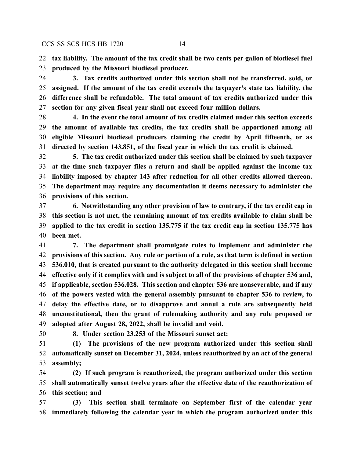**tax liability. The amount of the tax credit shall be two cents per gallon of biodiesel fuel produced by the Missouri biodiesel producer.**

 **3. Tax credits authorized under this section shall not be transferred, sold, or assigned. If the amount of the tax credit exceeds the taxpayer's state tax liability, the difference shall be refundable. The total amount of tax credits authorized under this section for any given fiscal year shall not exceed four million dollars.**

 **4. In the event the total amount of tax credits claimed under this section exceeds the amount of available tax credits, the tax credits shall be apportioned among all eligible Missouri biodiesel producers claiming the credit by April fifteenth, or as directed by section 143.851, of the fiscal year in which the tax credit is claimed.**

 **5. The tax credit authorized under this section shall be claimed by such taxpayer at the time such taxpayer files a return and shall be applied against the income tax liability imposed by chapter 143 after reduction for all other credits allowed thereon. The department may require any documentation it deems necessary to administer the provisions of this section.**

 **6. Notwithstanding any other provision of law to contrary, if the tax credit cap in this section is not met, the remaining amount of tax credits available to claim shall be applied to the tax credit in section 135.775 if the tax credit cap in section 135.775 has been met.**

 **7. The department shall promulgate rules to implement and administer the provisions of this section. Any rule or portion of a rule, as that term is defined in section 536.010, that is created pursuant to the authority delegated in this section shall become effective only if it complies with and is subject to all of the provisions of chapter 536 and, if applicable, section 536.028. This section and chapter 536 are nonseverable, and if any of the powers vested with the general assembly pursuant to chapter 536 to review, to delay the effective date, or to disapprove and annul a rule are subsequently held unconstitutional, then the grant of rulemaking authority and any rule proposed or adopted after August 28, 2022, shall be invalid and void.**

**8. Under section 23.253 of the Missouri sunset act:**

 **(1) The provisions of the new program authorized under this section shall automatically sunset on December 31, 2024, unless reauthorized by an act of the general assembly;**

 **(2) If such program is reauthorized, the program authorized under this section shall automatically sunset twelve years after the effective date of the reauthorization of this section; and**

 **(3) This section shall terminate on September first of the calendar year immediately following the calendar year in which the program authorized under this**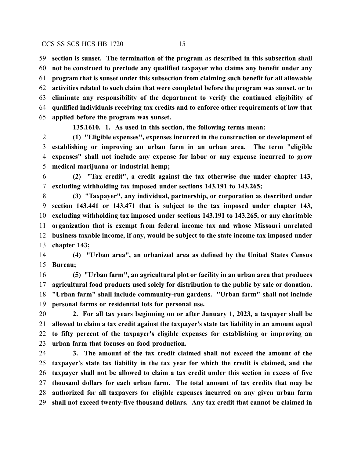**section is sunset. The termination of the program as described in this subsection shall not be construed to preclude any qualified taxpayer who claims any benefit under any program that is sunset under this subsection from claiming such benefit for all allowable activities related to such claim that were completed before the program was sunset, or to eliminate any responsibility of the department to verify the continued eligibility of qualified individuals receiving tax credits and to enforce other requirements of law that applied before the program was sunset.**

**135.1610. 1. As used in this section, the following terms mean:**

 **(1) "Eligible expenses", expenses incurred in the construction or development of establishing or improving an urban farm in an urban area. The term "eligible expenses" shall not include any expense for labor or any expense incurred to grow medical marijuana or industrial hemp;**

 **(2) "Tax credit", a credit against the tax otherwise due under chapter 143, excluding withholding tax imposed under sections 143.191 to 143.265;**

 **(3) "Taxpayer", any individual, partnership, or corporation as described under section 143.441 or 143.471 that is subject to the tax imposed under chapter 143, excluding withholding tax imposed under sections 143.191 to 143.265, or any charitable organization that is exempt from federal income tax and whose Missouri unrelated business taxable income, if any, would be subject to the state income tax imposed under chapter 143;**

 **(4) "Urban area", an urbanized area as defined by the United States Census Bureau;**

 **(5) "Urban farm", an agricultural plot or facility in an urban area that produces agricultural food products used solely for distribution to the public by sale or donation. "Urban farm" shall include community-run gardens. "Urban farm" shall not include personal farms or residential lots for personal use.**

 **2. For all tax years beginning on or after January 1, 2023, a taxpayer shall be allowed to claim a tax credit against the taxpayer's state tax liability in an amount equal to fifty percent of the taxpayer's eligible expenses for establishing or improving an urban farm that focuses on food production.**

 **3. The amount of the tax credit claimed shall not exceed the amount of the taxpayer's state tax liability in the tax year for which the credit is claimed, and the taxpayer shall not be allowed to claim a tax credit under this section in excess of five thousand dollars for each urban farm. The total amount of tax credits that may be authorized for all taxpayers for eligible expenses incurred on any given urban farm shall not exceed twenty-five thousand dollars. Any tax credit that cannot be claimed in**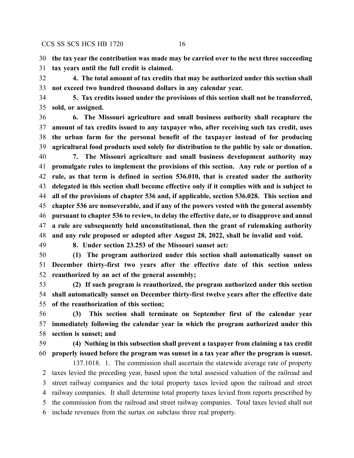**the tax year the contribution was made may be carried over to the next three succeeding**

**tax years until the full credit is claimed.**

 **4. The total amount of tax credits that may be authorized under this section shall not exceed two hundred thousand dollars in any calendar year.**

 **5. Tax credits issued under the provisions of this section shall not be transferred, sold, or assigned.**

 **6. The Missouri agriculture and small business authority shall recapture the amount of tax credits issued to any taxpayer who, after receiving such tax credit, uses the urban farm for the personal benefit of the taxpayer instead of for producing agricultural food products used solely for distribution to the public by sale or donation.**

 **7. The Missouri agriculture and small business development authority may promulgate rules to implement the provisions of this section. Any rule or portion of a rule, as that term is defined in section 536.010, that is created under the authority delegated in this section shall become effective only if it complies with and is subject to all of the provisions of chapter 536 and, if applicable, section 536.028. This section and chapter 536 are nonseverable, and if any of the powers vested with the general assembly pursuant to chapter 536 to review, to delay the effective date, or to disapprove and annul a rule are subsequently held unconstitutional, then the grant of rulemaking authority and any rule proposed or adopted after August 28, 2022, shall be invalid and void.**

**8. Under section 23.253 of the Missouri sunset act:**

 **(1) The program authorized under this section shall automatically sunset on December thirty-first two years after the effective date of this section unless reauthorized by an act of the general assembly;**

 **(2) If such program is reauthorized, the program authorized under this section shall automatically sunset on December thirty-first twelve years after the effective date of the reauthorization of this section;**

 **(3) This section shall terminate on September first of the calendar year immediately following the calendar year in which the program authorized under this section is sunset; and**

 **(4) Nothing in this subsection shall prevent a taxpayer from claiming a tax credit properly issued before the program was sunset in a tax year after the program is sunset.**

137.1018. 1. The commission shall ascertain the statewide average rate of property taxes levied the preceding year, based upon the total assessed valuation of the railroad and street railway companies and the total property taxes levied upon the railroad and street railway companies. It shall determine total property taxes levied from reports prescribed by the commission from the railroad and street railway companies. Total taxes levied shall not include revenues from the surtax on subclass three real property.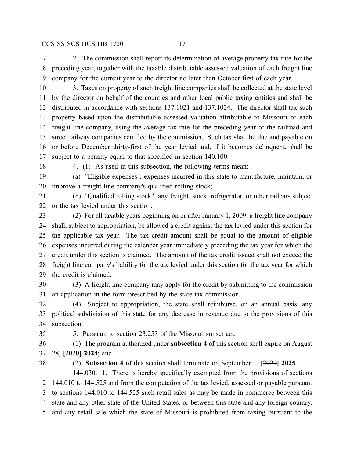2. The commission shall report its determination of average property tax rate for the preceding year, together with the taxable distributable assessed valuation of each freight line company for the current year to the director no later than October first of each year.

 3. Taxes on property of such freight line companies shall be collected at the state level by the director on behalf of the counties and other local public taxing entities and shall be distributed in accordance with sections 137.1021 and 137.1024. The director shall tax such property based upon the distributable assessed valuation attributable to Missouri of each freight line company, using the average tax rate for the preceding year of the railroad and street railway companies certified by the commission. Such tax shall be due and payable on or before December thirty-first of the year levied and, if it becomes delinquent, shall be subject to a penalty equal to that specified in section 140.100.

18 4. (1) As used in this subsection, the following terms mean:

 (a) "Eligible expenses", expenses incurred in this state to manufacture, maintain, or improve a freight line company's qualified rolling stock;

 (b) "Qualified rolling stock", any freight, stock, refrigerator, or other railcars subject to the tax levied under this section.

 (2) For all taxable years beginning on or after January 1, 2009, a freight line company shall, subject to appropriation, be allowed a credit against the tax levied under this section for the applicable tax year. The tax credit amount shall be equal to the amount of eligible expenses incurred during the calendar year immediately preceding the tax year for which the credit under this section is claimed. The amount of the tax credit issued shall not exceed the freight line company's liability for the tax levied under this section for the tax year for which the credit is claimed.

 (3) A freight line company may apply for the credit by submitting to the commission an application in the form prescribed by the state tax commission.

 (4) Subject to appropriation, the state shall reimburse, on an annual basis, any political subdivision of this state for any decrease in revenue due to the provisions of this subsection.

5. Pursuant to section 23.253 of the Missouri sunset act:

 (1) The program authorized under **subsection 4 of** this section shall expire on August 28, **[**2020**] 2024**; and

(2) **Subsection 4 of** this section shall terminate on September 1, **[**2021**] 2025**.

144.030. 1. There is hereby specifically exempted from the provisions of sections 144.010 to 144.525 and from the computation of the tax levied, assessed or payable pursuant to sections 144.010 to 144.525 such retail sales as may be made in commerce between this state and any other state of the United States, or between this state and any foreign country, and any retail sale which the state of Missouri is prohibited from taxing pursuant to the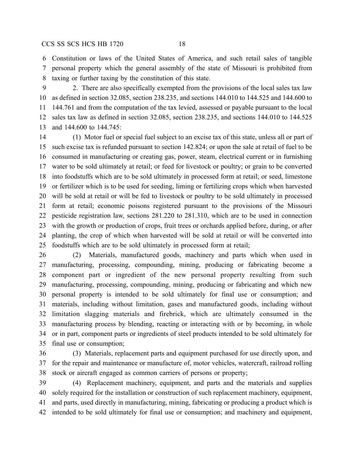Constitution or laws of the United States of America, and such retail sales of tangible personal property which the general assembly of the state of Missouri is prohibited from taxing or further taxing by the constitution of this state.

 2. There are also specifically exempted from the provisions of the local sales tax law as defined in section 32.085, section 238.235, and sections 144.010 to 144.525 and 144.600 to 144.761 and from the computation of the tax levied, assessed or payable pursuant to the local sales tax law as defined in section 32.085, section 238.235, and sections 144.010 to 144.525 and 144.600 to 144.745:

 (1) Motor fuel or special fuel subject to an excise tax of this state, unless all or part of such excise tax is refunded pursuant to section 142.824; or upon the sale at retail of fuel to be consumed in manufacturing or creating gas, power, steam, electrical current or in furnishing water to be sold ultimately at retail; or feed for livestock or poultry; or grain to be converted into foodstuffs which are to be sold ultimately in processed form at retail; or seed, limestone or fertilizer which is to be used for seeding, liming or fertilizing crops which when harvested will be sold at retail or will be fed to livestock or poultry to be sold ultimately in processed form at retail; economic poisons registered pursuant to the provisions of the Missouri pesticide registration law, sections 281.220 to 281.310, which are to be used in connection with the growth or production of crops, fruit trees or orchards applied before, during, or after planting, the crop of which when harvested will be sold at retail or will be converted into foodstuffs which are to be sold ultimately in processed form at retail;

 (2) Materials, manufactured goods, machinery and parts which when used in manufacturing, processing, compounding, mining, producing or fabricating become a component part or ingredient of the new personal property resulting from such manufacturing, processing, compounding, mining, producing or fabricating and which new personal property is intended to be sold ultimately for final use or consumption; and materials, including without limitation, gases and manufactured goods, including without limitation slagging materials and firebrick, which are ultimately consumed in the manufacturing process by blending, reacting or interacting with or by becoming, in whole or in part, component parts or ingredients of steel products intended to be sold ultimately for final use or consumption;

 (3) Materials, replacement parts and equipment purchased for use directly upon, and for the repair and maintenance or manufacture of, motor vehicles, watercraft, railroad rolling stock or aircraft engaged as common carriers of persons or property;

 (4) Replacement machinery, equipment, and parts and the materials and supplies solely required for the installation or construction of such replacement machinery, equipment, and parts, used directly in manufacturing, mining, fabricating or producing a product which is intended to be sold ultimately for final use or consumption; and machinery and equipment,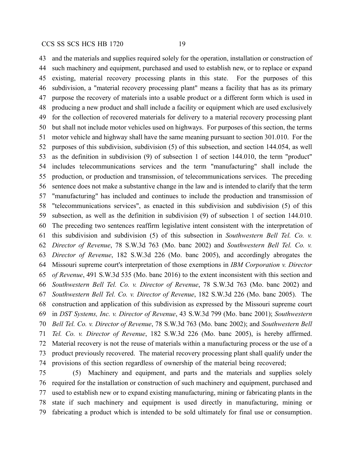and the materials and supplies required solely for the operation, installation or construction of such machinery and equipment, purchased and used to establish new, or to replace or expand existing, material recovery processing plants in this state. For the purposes of this subdivision, a "material recovery processing plant" means a facility that has as its primary purpose the recovery of materials into a usable product or a different form which is used in producing a new product and shall include a facility or equipment which are used exclusively for the collection of recovered materials for delivery to a material recovery processing plant but shall not include motor vehicles used on highways. For purposes of this section, the terms motor vehicle and highway shall have the same meaning pursuant to section 301.010. For the purposes of this subdivision, subdivision (5) of this subsection, and section 144.054, as well as the definition in subdivision (9) of subsection 1 of section 144.010, the term "product" includes telecommunications services and the term "manufacturing" shall include the production, or production and transmission, of telecommunications services. The preceding sentence does not make a substantive change in the law and is intended to clarify that the term "manufacturing" has included and continues to include the production and transmission of "telecommunications services", as enacted in this subdivision and subdivision (5) of this subsection, as well as the definition in subdivision (9) of subsection 1 of section 144.010. The preceding two sentences reaffirm legislative intent consistent with the interpretation of this subdivision and subdivision (5) of this subsection in *Southwestern Bell Tel. Co. v. Director of Revenue*, 78 S.W.3d 763 (Mo. banc 2002) and *Southwestern Bell Tel. Co. v. Director of Revenue*, 182 S.W.3d 226 (Mo. banc 2005), and accordingly abrogates the Missouri supreme court's interpretation of those exemptions in *IBM Corporation v. Director of Revenue*, 491 S.W.3d 535 (Mo. banc 2016) to the extent inconsistent with this section and *Southwestern Bell Tel. Co. v. Director of Revenue*, 78 S.W.3d 763 (Mo. banc 2002) and *Southwestern Bell Tel. Co. v. Director of Revenue*, 182 S.W.3d 226 (Mo. banc 2005). The construction and application of this subdivision as expressed by the Missouri supreme court in *DST Systems, Inc. v. Director of Revenue*, 43 S.W.3d 799 (Mo. banc 2001); *Southwestern Bell Tel. Co. v. Director of Revenue*, 78 S.W.3d 763 (Mo. banc 2002); and *Southwestern Bell Tel. Co. v. Director of Revenue*, 182 S.W.3d 226 (Mo. banc 2005), is hereby affirmed. Material recovery is not the reuse of materials within a manufacturing process or the use of a product previously recovered. The material recovery processing plant shall qualify under the provisions of this section regardless of ownership of the material being recovered;

 (5) Machinery and equipment, and parts and the materials and supplies solely required for the installation or construction of such machinery and equipment, purchased and used to establish new or to expand existing manufacturing, mining or fabricating plants in the state if such machinery and equipment is used directly in manufacturing, mining or fabricating a product which is intended to be sold ultimately for final use or consumption.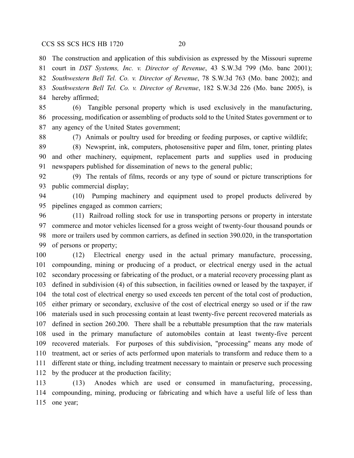The construction and application of this subdivision as expressed by the Missouri supreme court in *DST Systems, Inc. v. Director of Revenue*, 43 S.W.3d 799 (Mo. banc 2001); *Southwestern Bell Tel. Co. v. Director of Revenue*, 78 S.W.3d 763 (Mo. banc 2002); and *Southwestern Bell Tel. Co. v. Director of Revenue*, 182 S.W.3d 226 (Mo. banc 2005), is hereby affirmed;

 (6) Tangible personal property which is used exclusively in the manufacturing, processing, modification or assembling of products sold to the United States government or to any agency of the United States government;

(7) Animals or poultry used for breeding or feeding purposes, or captive wildlife;

 (8) Newsprint, ink, computers, photosensitive paper and film, toner, printing plates and other machinery, equipment, replacement parts and supplies used in producing newspapers published for dissemination of news to the general public;

 (9) The rentals of films, records or any type of sound or picture transcriptions for public commercial display;

 (10) Pumping machinery and equipment used to propel products delivered by pipelines engaged as common carriers;

 (11) Railroad rolling stock for use in transporting persons or property in interstate commerce and motor vehicles licensed for a gross weight of twenty-four thousand pounds or more or trailers used by common carriers, as defined in section 390.020, in the transportation of persons or property;

 (12) Electrical energy used in the actual primary manufacture, processing, compounding, mining or producing of a product, or electrical energy used in the actual secondary processing or fabricating of the product, or a material recovery processing plant as defined in subdivision (4) of this subsection, in facilities owned or leased by the taxpayer, if the total cost of electrical energy so used exceeds ten percent of the total cost of production, either primary or secondary, exclusive of the cost of electrical energy so used or if the raw materials used in such processing contain at least twenty-five percent recovered materials as defined in section 260.200. There shall be a rebuttable presumption that the raw materials used in the primary manufacture of automobiles contain at least twenty-five percent recovered materials. For purposes of this subdivision, "processing" means any mode of treatment, act or series of acts performed upon materials to transform and reduce them to a different state or thing, including treatment necessary to maintain or preserve such processing by the producer at the production facility;

 (13) Anodes which are used or consumed in manufacturing, processing, compounding, mining, producing or fabricating and which have a useful life of less than one year;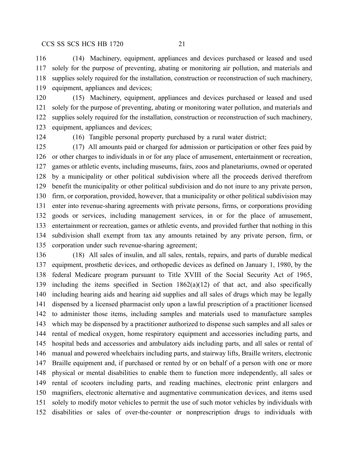(14) Machinery, equipment, appliances and devices purchased or leased and used solely for the purpose of preventing, abating or monitoring air pollution, and materials and supplies solely required for the installation, construction or reconstruction of such machinery, equipment, appliances and devices;

 (15) Machinery, equipment, appliances and devices purchased or leased and used solely for the purpose of preventing, abating or monitoring water pollution, and materials and supplies solely required for the installation, construction or reconstruction of such machinery, equipment, appliances and devices;

(16) Tangible personal property purchased by a rural water district;

 (17) All amounts paid or charged for admission or participation or other fees paid by or other charges to individuals in or for any place of amusement, entertainment or recreation, games or athletic events, including museums, fairs, zoos and planetariums, owned or operated by a municipality or other political subdivision where all the proceeds derived therefrom benefit the municipality or other political subdivision and do not inure to any private person, firm, or corporation, provided, however, that a municipality or other political subdivision may enter into revenue-sharing agreements with private persons, firms, or corporations providing goods or services, including management services, in or for the place of amusement, entertainment or recreation, games or athletic events, and provided further that nothing in this subdivision shall exempt from tax any amounts retained by any private person, firm, or corporation under such revenue-sharing agreement;

 (18) All sales of insulin, and all sales, rentals, repairs, and parts of durable medical equipment, prosthetic devices, and orthopedic devices as defined on January 1, 1980, by the federal Medicare program pursuant to Title XVIII of the Social Security Act of 1965, including the items specified in Section 1862(a)(12) of that act, and also specifically including hearing aids and hearing aid supplies and all sales of drugs which may be legally dispensed by a licensed pharmacist only upon a lawful prescription of a practitioner licensed to administer those items, including samples and materials used to manufacture samples which may be dispensed by a practitioner authorized to dispense such samples and all sales or rental of medical oxygen, home respiratory equipment and accessories including parts, and hospital beds and accessories and ambulatory aids including parts, and all sales or rental of manual and powered wheelchairs including parts, and stairway lifts, Braille writers, electronic Braille equipment and, if purchased or rented by or on behalf of a person with one or more physical or mental disabilities to enable them to function more independently, all sales or rental of scooters including parts, and reading machines, electronic print enlargers and magnifiers, electronic alternative and augmentative communication devices, and items used solely to modify motor vehicles to permit the use of such motor vehicles by individuals with disabilities or sales of over-the-counter or nonprescription drugs to individuals with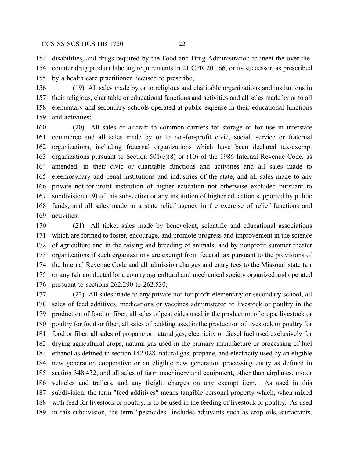disabilities, and drugs required by the Food and Drug Administration to meet the over-the- counter drug product labeling requirements in 21 CFR 201.66, or its successor, as prescribed by a health care practitioner licensed to prescribe;

 (19) All sales made by or to religious and charitable organizations and institutions in their religious, charitable or educational functions and activities and all sales made by or to all elementary and secondary schools operated at public expense in their educational functions and activities;

 (20) All sales of aircraft to common carriers for storage or for use in interstate commerce and all sales made by or to not-for-profit civic, social, service or fraternal organizations, including fraternal organizations which have been declared tax-exempt organizations pursuant to Section 501(c)(8) or (10) of the 1986 Internal Revenue Code, as amended, in their civic or charitable functions and activities and all sales made to eleemosynary and penal institutions and industries of the state, and all sales made to any private not-for-profit institution of higher education not otherwise excluded pursuant to subdivision (19) of this subsection or any institution of higher education supported by public funds, and all sales made to a state relief agency in the exercise of relief functions and activities;

 (21) All ticket sales made by benevolent, scientific and educational associations which are formed to foster, encourage, and promote progress and improvement in the science of agriculture and in the raising and breeding of animals, and by nonprofit summer theater organizations if such organizations are exempt from federal tax pursuant to the provisions of the Internal Revenue Code and all admission charges and entry fees to the Missouri state fair or any fair conducted by a county agricultural and mechanical society organized and operated pursuant to sections 262.290 to 262.530;

 (22) All sales made to any private not-for-profit elementary or secondary school, all sales of feed additives, medications or vaccines administered to livestock or poultry in the production of food or fiber, all sales of pesticides used in the production of crops, livestock or poultry for food or fiber, all sales of bedding used in the production of livestock or poultry for food or fiber, all sales of propane or natural gas, electricity or diesel fuel used exclusively for drying agricultural crops, natural gas used in the primary manufacture or processing of fuel ethanol as defined in section 142.028, natural gas, propane, and electricity used by an eligible new generation cooperative or an eligible new generation processing entity as defined in section 348.432, and all sales of farm machinery and equipment, other than airplanes, motor vehicles and trailers, and any freight charges on any exempt item. As used in this subdivision, the term "feed additives" means tangible personal property which, when mixed with feed for livestock or poultry, is to be used in the feeding of livestock or poultry. As used in this subdivision, the term "pesticides" includes adjuvants such as crop oils, surfactants,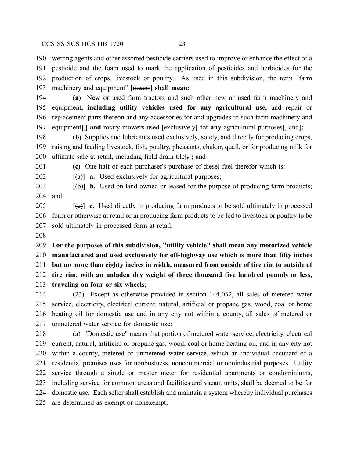wetting agents and other assorted pesticide carriers used to improve or enhance the effect of a pesticide and the foam used to mark the application of pesticides and herbicides for the production of crops, livestock or poultry. As used in this subdivision, the term "farm machinery and equipment" **[**means**] shall mean:**

 **(a)** New or used farm tractors and such other new or used farm machinery and equipment**, including utility vehicles used for any agricultural use,** and repair or replacement parts thereon and any accessories for and upgrades to such farm machinery and equipment**[**,**] and** rotary mowers used **[**exclusively**]** for **any** agricultural purposes**[**, and**];**

 **(b)** Supplies and lubricants used exclusively, solely, and directly for producing crops, raising and feeding livestock, fish, poultry, pheasants, chukar, quail, or for producing milk for ultimate sale at retail, including field drain tile**[**,**];** and

**(c)** One-half of each purchaser's purchase of diesel fuel therefor which is:

**[**(a)**] a.** Used exclusively for agricultural purposes;

 **[**(b)**] b.** Used on land owned or leased for the purpose of producing farm products; and

**[(e)] c.** Used directly in producing farm products to be sold ultimately in processed form or otherwise at retail or in producing farm products to be fed to livestock or poultry to be sold ultimately in processed form at retail**.**

 **For the purposes of this subdivision, "utility vehicle" shall mean any motorized vehicle manufactured and used exclusively for off-highway use which is more than fifty inches but no more than eighty inches in width, measured from outside of tire rim to outside of tire rim, with an unladen dry weight of three thousand five hundred pounds or less, traveling on four or six wheels**;

 (23) Except as otherwise provided in section 144.032, all sales of metered water service, electricity, electrical current, natural, artificial or propane gas, wood, coal or home heating oil for domestic use and in any city not within a county, all sales of metered or unmetered water service for domestic use:

 (a) "Domestic use" means that portion of metered water service, electricity, electrical current, natural, artificial or propane gas, wood, coal or home heating oil, and in any city not within a county, metered or unmetered water service, which an individual occupant of a residential premises uses for nonbusiness, noncommercial or nonindustrial purposes. Utility service through a single or master meter for residential apartments or condominiums, including service for common areas and facilities and vacant units, shall be deemed to be for domestic use. Each seller shall establish and maintain a system whereby individual purchases are determined as exempt or nonexempt;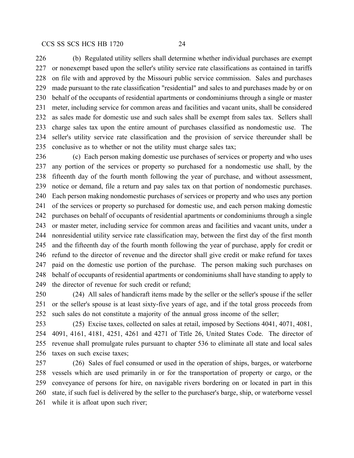(b) Regulated utility sellers shall determine whether individual purchases are exempt or nonexempt based upon the seller's utility service rate classifications as contained in tariffs on file with and approved by the Missouri public service commission. Sales and purchases made pursuant to the rate classification "residential" and sales to and purchases made by or on behalf of the occupants of residential apartments or condominiums through a single or master meter, including service for common areas and facilities and vacant units, shall be considered as sales made for domestic use and such sales shall be exempt from sales tax. Sellers shall charge sales tax upon the entire amount of purchases classified as nondomestic use. The seller's utility service rate classification and the provision of service thereunder shall be conclusive as to whether or not the utility must charge sales tax;

 (c) Each person making domestic use purchases of services or property and who uses any portion of the services or property so purchased for a nondomestic use shall, by the fifteenth day of the fourth month following the year of purchase, and without assessment, notice or demand, file a return and pay sales tax on that portion of nondomestic purchases. Each person making nondomestic purchases of services or property and who uses any portion of the services or property so purchased for domestic use, and each person making domestic purchases on behalf of occupants of residential apartments or condominiums through a single or master meter, including service for common areas and facilities and vacant units, under a nonresidential utility service rate classification may, between the first day of the first month and the fifteenth day of the fourth month following the year of purchase, apply for credit or refund to the director of revenue and the director shall give credit or make refund for taxes paid on the domestic use portion of the purchase. The person making such purchases on behalf of occupants of residential apartments or condominiums shall have standing to apply to the director of revenue for such credit or refund;

 (24) All sales of handicraft items made by the seller or the seller's spouse if the seller or the seller's spouse is at least sixty-five years of age, and if the total gross proceeds from such sales do not constitute a majority of the annual gross income of the seller;

 (25) Excise taxes, collected on sales at retail, imposed by Sections 4041, 4071, 4081, 4091, 4161, 4181, 4251, 4261 and 4271 of Title 26, United States Code. The director of revenue shall promulgate rules pursuant to chapter 536 to eliminate all state and local sales taxes on such excise taxes;

 (26) Sales of fuel consumed or used in the operation of ships, barges, or waterborne vessels which are used primarily in or for the transportation of property or cargo, or the conveyance of persons for hire, on navigable rivers bordering on or located in part in this state, if such fuel is delivered by the seller to the purchaser's barge, ship, or waterborne vessel while it is afloat upon such river;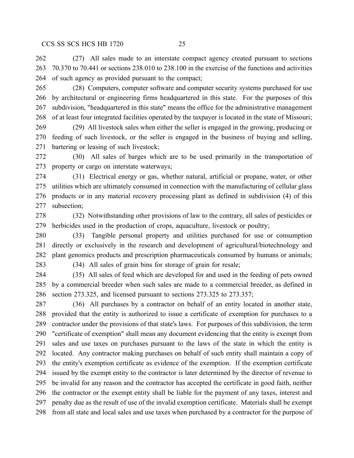(27) All sales made to an interstate compact agency created pursuant to sections 70.370 to 70.441 or sections 238.010 to 238.100 in the exercise of the functions and activities of such agency as provided pursuant to the compact;

 (28) Computers, computer software and computer security systems purchased for use by architectural or engineering firms headquartered in this state. For the purposes of this subdivision, "headquartered in this state" means the office for the administrative management of at least four integrated facilities operated by the taxpayer is located in the state of Missouri;

 (29) All livestock sales when either the seller is engaged in the growing, producing or feeding of such livestock, or the seller is engaged in the business of buying and selling, bartering or leasing of such livestock;

 (30) All sales of barges which are to be used primarily in the transportation of property or cargo on interstate waterways;

 (31) Electrical energy or gas, whether natural, artificial or propane, water, or other utilities which are ultimately consumed in connection with the manufacturing of cellular glass products or in any material recovery processing plant as defined in subdivision (4) of this subsection;

 (32) Notwithstanding other provisions of law to the contrary, all sales of pesticides or herbicides used in the production of crops, aquaculture, livestock or poultry;

 (33) Tangible personal property and utilities purchased for use or consumption directly or exclusively in the research and development of agricultural/biotechnology and plant genomics products and prescription pharmaceuticals consumed by humans or animals;

(34) All sales of grain bins for storage of grain for resale;

 (35) All sales of feed which are developed for and used in the feeding of pets owned by a commercial breeder when such sales are made to a commercial breeder, as defined in section 273.325, and licensed pursuant to sections 273.325 to 273.357;

 (36) All purchases by a contractor on behalf of an entity located in another state, provided that the entity is authorized to issue a certificate of exemption for purchases to a contractor under the provisions of that state's laws. For purposes of this subdivision, the term "certificate of exemption" shall mean any document evidencing that the entity is exempt from sales and use taxes on purchases pursuant to the laws of the state in which the entity is located. Any contractor making purchases on behalf of such entity shall maintain a copy of the entity's exemption certificate as evidence of the exemption. If the exemption certificate issued by the exempt entity to the contractor is later determined by the director of revenue to be invalid for any reason and the contractor has accepted the certificate in good faith, neither the contractor or the exempt entity shall be liable for the payment of any taxes, interest and penalty due as the result of use of the invalid exemption certificate. Materials shall be exempt from all state and local sales and use taxes when purchased by a contractor for the purpose of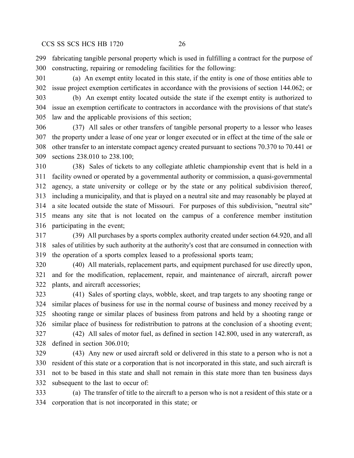fabricating tangible personal property which is used in fulfilling a contract for the purpose of constructing, repairing or remodeling facilities for the following:

 (a) An exempt entity located in this state, if the entity is one of those entities able to issue project exemption certificates in accordance with the provisions of section 144.062; or

 (b) An exempt entity located outside the state if the exempt entity is authorized to issue an exemption certificate to contractors in accordance with the provisions of that state's law and the applicable provisions of this section;

 (37) All sales or other transfers of tangible personal property to a lessor who leases the property under a lease of one year or longer executed or in effect at the time of the sale or other transfer to an interstate compact agency created pursuant to sections 70.370 to 70.441 or sections 238.010 to 238.100;

 (38) Sales of tickets to any collegiate athletic championship event that is held in a facility owned or operated by a governmental authority or commission, a quasi-governmental agency, a state university or college or by the state or any political subdivision thereof, including a municipality, and that is played on a neutral site and may reasonably be played at a site located outside the state of Missouri. For purposes of this subdivision, "neutral site" means any site that is not located on the campus of a conference member institution participating in the event;

 (39) All purchases by a sports complex authority created under section 64.920, and all sales of utilities by such authority at the authority's cost that are consumed in connection with the operation of a sports complex leased to a professional sports team;

 (40) All materials, replacement parts, and equipment purchased for use directly upon, and for the modification, replacement, repair, and maintenance of aircraft, aircraft power plants, and aircraft accessories;

 (41) Sales of sporting clays, wobble, skeet, and trap targets to any shooting range or similar places of business for use in the normal course of business and money received by a shooting range or similar places of business from patrons and held by a shooting range or similar place of business for redistribution to patrons at the conclusion of a shooting event; (42) All sales of motor fuel, as defined in section 142.800, used in any watercraft, as

defined in section 306.010;

 (43) Any new or used aircraft sold or delivered in this state to a person who is not a resident of this state or a corporation that is not incorporated in this state, and such aircraft is not to be based in this state and shall not remain in this state more than ten business days subsequent to the last to occur of:

 (a) The transfer of title to the aircraft to a person who is not a resident of this state or a corporation that is not incorporated in this state; or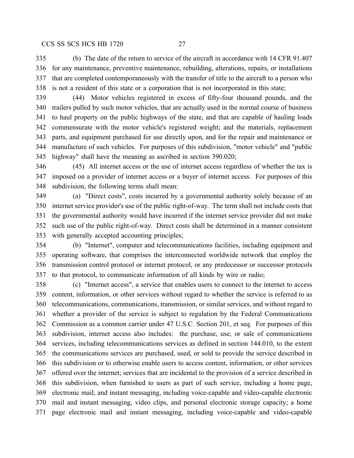(b) The date of the return to service of the aircraft in accordance with 14 CFR 91.407 for any maintenance, preventive maintenance, rebuilding, alterations, repairs, or installations that are completed contemporaneously with the transfer of title to the aircraft to a person who is not a resident of this state or a corporation that is not incorporated in this state;

 (44) Motor vehicles registered in excess of fifty-four thousand pounds, and the trailers pulled by such motor vehicles, that are actually used in the normal course of business to haul property on the public highways of the state, and that are capable of hauling loads commensurate with the motor vehicle's registered weight; and the materials, replacement parts, and equipment purchased for use directly upon, and for the repair and maintenance or manufacture of such vehicles. For purposes of this subdivision, "motor vehicle" and "public highway" shall have the meaning as ascribed in section 390.020;

 (45) All internet access or the use of internet access regardless of whether the tax is imposed on a provider of internet access or a buyer of internet access. For purposes of this subdivision, the following terms shall mean:

 (a) "Direct costs", costs incurred by a governmental authority solely because of an internet service provider's use of the public right-of-way. The term shall not include costs that the governmental authority would have incurred if the internet service provider did not make such use of the public right-of-way. Direct costs shall be determined in a manner consistent with generally accepted accounting principles;

 (b) "Internet", computer and telecommunications facilities, including equipment and operating software, that comprises the interconnected worldwide network that employ the transmission control protocol or internet protocol, or any predecessor or successor protocols to that protocol, to communicate information of all kinds by wire or radio;

 (c) "Internet access", a service that enables users to connect to the internet to access content, information, or other services without regard to whether the service is referred to as telecommunications, communications, transmission, or similar services, and without regard to whether a provider of the service is subject to regulation by the Federal Communications Commission as a common carrier under 47 U.S.C. Section 201, et seq. For purposes of this subdivision, internet access also includes: the purchase, use, or sale of communications services, including telecommunications services as defined in section 144.010, to the extent the communications services are purchased, used, or sold to provide the service described in this subdivision or to otherwise enable users to access content, information, or other services offered over the internet; services that are incidental to the provision of a service described in this subdivision, when furnished to users as part of such service, including a home page, electronic mail, and instant messaging, including voice-capable and video-capable electronic mail and instant messaging, video clips, and personal electronic storage capacity; a home page electronic mail and instant messaging, including voice-capable and video-capable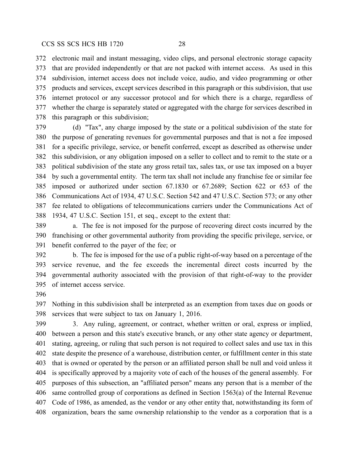electronic mail and instant messaging, video clips, and personal electronic storage capacity that are provided independently or that are not packed with internet access. As used in this subdivision, internet access does not include voice, audio, and video programming or other products and services, except services described in this paragraph or this subdivision, that use internet protocol or any successor protocol and for which there is a charge, regardless of whether the charge is separately stated or aggregated with the charge for services described in this paragraph or this subdivision;

 (d) "Tax", any charge imposed by the state or a political subdivision of the state for the purpose of generating revenues for governmental purposes and that is not a fee imposed for a specific privilege, service, or benefit conferred, except as described as otherwise under this subdivision, or any obligation imposed on a seller to collect and to remit to the state or a political subdivision of the state any gross retail tax, sales tax, or use tax imposed on a buyer by such a governmental entity. The term tax shall not include any franchise fee or similar fee imposed or authorized under section 67.1830 or 67.2689; Section 622 or 653 of the Communications Act of 1934, 47 U.S.C. Section 542 and 47 U.S.C. Section 573; or any other fee related to obligations of telecommunications carriers under the Communications Act of 1934, 47 U.S.C. Section 151, et seq., except to the extent that:

 a. The fee is not imposed for the purpose of recovering direct costs incurred by the franchising or other governmental authority from providing the specific privilege, service, or benefit conferred to the payer of the fee; or

 b. The fee is imposed for the use of a public right-of-way based on a percentage of the service revenue, and the fee exceeds the incremental direct costs incurred by the governmental authority associated with the provision of that right-of-way to the provider of internet access service.

 Nothing in this subdivision shall be interpreted as an exemption from taxes due on goods or services that were subject to tax on January 1, 2016.

 3. Any ruling, agreement, or contract, whether written or oral, express or implied, between a person and this state's executive branch, or any other state agency or department, stating, agreeing, or ruling that such person is not required to collect sales and use tax in this state despite the presence of a warehouse, distribution center, or fulfillment center in this state that is owned or operated by the person or an affiliated person shall be null and void unless it is specifically approved by a majority vote of each of the houses of the general assembly. For purposes of this subsection, an "affiliated person" means any person that is a member of the same controlled group of corporations as defined in Section 1563(a) of the Internal Revenue Code of 1986, as amended, as the vendor or any other entity that, notwithstanding its form of organization, bears the same ownership relationship to the vendor as a corporation that is a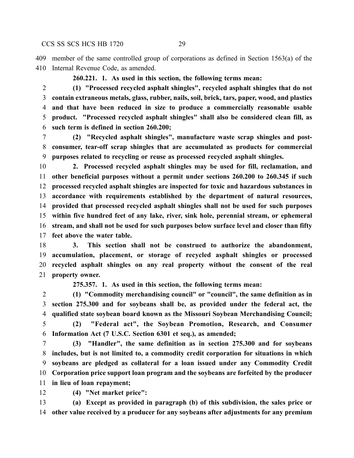member of the same controlled group of corporations as defined in Section 1563(a) of the Internal Revenue Code, as amended.

**260.221. 1. As used in this section, the following terms mean:**

 **(1) "Processed recycled asphalt shingles", recycled asphalt shingles that do not contain extraneous metals, glass, rubber, nails, soil, brick, tars, paper, wood, and plastics and that have been reduced in size to produce a commercially reasonable usable product. "Processed recycled asphalt shingles" shall also be considered clean fill, as such term is defined in section 260.200;**

 **(2) "Recycled asphalt shingles", manufacture waste scrap shingles and post- consumer, tear-off scrap shingles that are accumulated as products for commercial purposes related to recycling or reuse as processed recycled asphalt shingles.**

 **2. Processed recycled asphalt shingles may be used for fill, reclamation, and other beneficial purposes without a permit under sections 260.200 to 260.345 if such processed recycled asphalt shingles are inspected for toxic and hazardous substances in accordance with requirements established by the department of natural resources, provided that processed recycled asphalt shingles shall not be used for such purposes within five hundred feet of any lake, river, sink hole, perennial stream, or ephemeral stream, and shall not be used for such purposes below surface level and closer than fifty feet above the water table.**

 **3. This section shall not be construed to authorize the abandonment, accumulation, placement, or storage of recycled asphalt shingles or processed recycled asphalt shingles on any real property without the consent of the real property owner.**

**275.357. 1. As used in this section, the following terms mean:**

 **(1) "Commodity merchandising council" or "council", the same definition as in section 275.300 and for soybeans shall be, as provided under the federal act, the qualified state soybean board known as the Missouri Soybean Merchandising Council; (2) "Federal act", the Soybean Promotion, Research, and Consumer Information Act (7 U.S.C. Section 6301 et seq.), as amended;**

 **(3) "Handler", the same definition as in section 275.300 and for soybeans includes, but is not limited to, a commodity credit corporation for situations in which soybeans are pledged as collateral for a loan issued under any Commodity Credit Corporation price support loan program and the soybeans are forfeited by the producer in lieu of loan repayment;**

**(4) "Net market price":**

 **(a) Except as provided in paragraph (b) of this subdivision, the sales price or other value received by a producer for any soybeans after adjustments for any premium**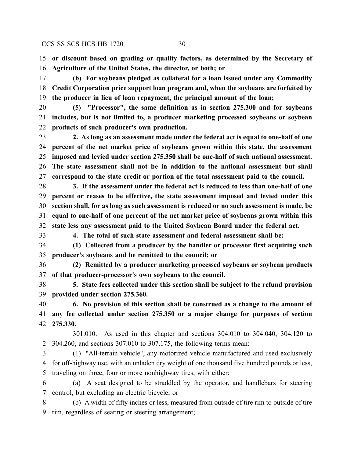**or discount based on grading or quality factors, as determined by the Secretary of Agriculture of the United States, the director, or both; or**

 **(b) For soybeans pledged as collateral for a loan issued under any Commodity Credit Corporation price support loan program and, when the soybeans are forfeited by the producer in lieu of loan repayment, the principal amount of the loan;**

 **(5) "Processor", the same definition as in section 275.300 and for soybeans includes, but is not limited to, a producer marketing processed soybeans or soybean products of such producer's own production.**

 **2. As long as an assessment made under the federal act is equal to one-half of one percent of the net market price of soybeans grown within this state, the assessment imposed and levied under section 275.350 shall be one-half of such national assessment. The state assessment shall not be in addition to the national assessment but shall correspond to the state credit or portion of the total assessment paid to the council.**

 **3. If the assessment under the federal act is reduced to less than one-half of one percent or ceases to be effective, the state assessment imposed and levied under this section shall, for as long as such assessment is reduced or no such assessment is made, be equal to one-half of one percent of the net market price of soybeans grown within this state less any assessment paid to the United Soybean Board under the federal act.**

**4. The total of such state assessment and federal assessment shall be:**

 **(1) Collected from a producer by the handler or processor first acquiring such producer's soybeans and be remitted to the council; or**

 **(2) Remitted by a producer marketing processed soybeans or soybean products of that producer-processor's own soybeans to the council.**

 **5. State fees collected under this section shall be subject to the refund provision provided under section 275.360.**

 **6. No provision of this section shall be construed as a change to the amount of any fee collected under section 275.350 or a major change for purposes of section 275.330.**

301.010. As used in this chapter and sections 304.010 to 304.040, 304.120 to 304.260, and sections 307.010 to 307.175, the following terms mean:

 (1) "All-terrain vehicle", any motorized vehicle manufactured and used exclusively for off-highway use, with an unladen dry weight of one thousand five hundred pounds or less, traveling on three, four or more nonhighway tires, with either:

 (a) A seat designed to be straddled by the operator, and handlebars for steering control, but excluding an electric bicycle; or

 (b) A width of fifty inches or less, measured from outside of tire rim to outside of tire rim, regardless of seating or steering arrangement;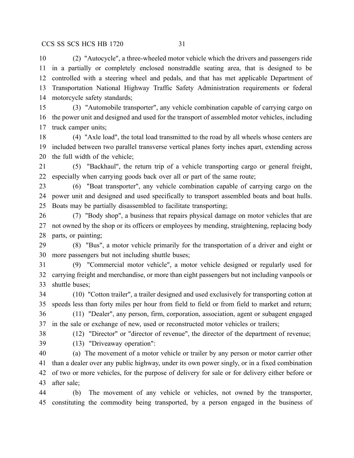(2) "Autocycle", a three-wheeled motor vehicle which the drivers and passengers ride in a partially or completely enclosed nonstraddle seating area, that is designed to be controlled with a steering wheel and pedals, and that has met applicable Department of Transportation National Highway Traffic Safety Administration requirements or federal motorcycle safety standards;

 (3) "Automobile transporter", any vehicle combination capable of carrying cargo on the power unit and designed and used for the transport of assembled motor vehicles, including truck camper units;

 (4) "Axle load", the total load transmitted to the road by all wheels whose centers are included between two parallel transverse vertical planes forty inches apart, extending across the full width of the vehicle;

 (5) "Backhaul", the return trip of a vehicle transporting cargo or general freight, especially when carrying goods back over all or part of the same route;

 (6) "Boat transporter", any vehicle combination capable of carrying cargo on the power unit and designed and used specifically to transport assembled boats and boat hulls. Boats may be partially disassembled to facilitate transporting;

 (7) "Body shop", a business that repairs physical damage on motor vehicles that are not owned by the shop or its officers or employees by mending, straightening, replacing body parts, or painting;

 (8) "Bus", a motor vehicle primarily for the transportation of a driver and eight or more passengers but not including shuttle buses;

 (9) "Commercial motor vehicle", a motor vehicle designed or regularly used for carrying freight and merchandise, or more than eight passengers but not including vanpools or shuttle buses;

 (10) "Cotton trailer", a trailer designed and used exclusively for transporting cotton at speeds less than forty miles per hour from field to field or from field to market and return; (11) "Dealer", any person, firm, corporation, association, agent or subagent engaged

in the sale or exchange of new, used or reconstructed motor vehicles or trailers;

 (12) "Director" or "director of revenue", the director of the department of revenue; (13) "Driveaway operation":

 (a) The movement of a motor vehicle or trailer by any person or motor carrier other than a dealer over any public highway, under its own power singly, or in a fixed combination of two or more vehicles, for the purpose of delivery for sale or for delivery either before or after sale;

 (b) The movement of any vehicle or vehicles, not owned by the transporter, constituting the commodity being transported, by a person engaged in the business of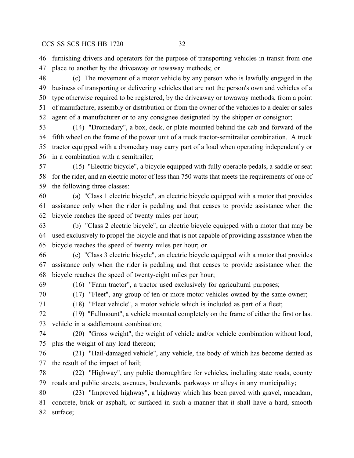furnishing drivers and operators for the purpose of transporting vehicles in transit from one place to another by the driveaway or towaway methods; or

 (c) The movement of a motor vehicle by any person who is lawfully engaged in the business of transporting or delivering vehicles that are not the person's own and vehicles of a type otherwise required to be registered, by the driveaway or towaway methods, from a point of manufacture, assembly or distribution or from the owner of the vehicles to a dealer or sales agent of a manufacturer or to any consignee designated by the shipper or consignor;

 (14) "Dromedary", a box, deck, or plate mounted behind the cab and forward of the fifth wheel on the frame of the power unit of a truck tractor-semitrailer combination. A truck tractor equipped with a dromedary may carry part of a load when operating independently or in a combination with a semitrailer;

 (15) "Electric bicycle", a bicycle equipped with fully operable pedals, a saddle or seat for the rider, and an electric motor of less than 750 watts that meets the requirements of one of the following three classes:

 (a) "Class 1 electric bicycle", an electric bicycle equipped with a motor that provides assistance only when the rider is pedaling and that ceases to provide assistance when the bicycle reaches the speed of twenty miles per hour;

 (b) "Class 2 electric bicycle", an electric bicycle equipped with a motor that may be used exclusively to propel the bicycle and that is not capable of providing assistance when the bicycle reaches the speed of twenty miles per hour; or

 (c) "Class 3 electric bicycle", an electric bicycle equipped with a motor that provides assistance only when the rider is pedaling and that ceases to provide assistance when the bicycle reaches the speed of twenty-eight miles per hour;

(16) "Farm tractor", a tractor used exclusively for agricultural purposes;

(17) "Fleet", any group of ten or more motor vehicles owned by the same owner;

(18) "Fleet vehicle", a motor vehicle which is included as part of a fleet;

 (19) "Fullmount", a vehicle mounted completely on the frame of either the first or last vehicle in a saddlemount combination;

 (20) "Gross weight", the weight of vehicle and/or vehicle combination without load, plus the weight of any load thereon;

 (21) "Hail-damaged vehicle", any vehicle, the body of which has become dented as the result of the impact of hail;

 (22) "Highway", any public thoroughfare for vehicles, including state roads, county roads and public streets, avenues, boulevards, parkways or alleys in any municipality;

 (23) "Improved highway", a highway which has been paved with gravel, macadam, concrete, brick or asphalt, or surfaced in such a manner that it shall have a hard, smooth surface;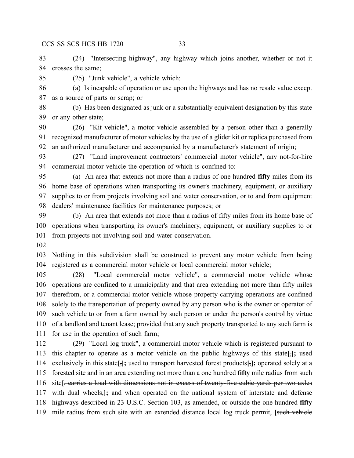(24) "Intersecting highway", any highway which joins another, whether or not it crosses the same;

(25) "Junk vehicle", a vehicle which:

 (a) Is incapable of operation or use upon the highways and has no resale value except as a source of parts or scrap; or

 (b) Has been designated as junk or a substantially equivalent designation by this state or any other state;

 (26) "Kit vehicle", a motor vehicle assembled by a person other than a generally recognized manufacturer of motor vehicles by the use of a glider kit or replica purchased from an authorized manufacturer and accompanied by a manufacturer's statement of origin;

 (27) "Land improvement contractors' commercial motor vehicle", any not-for-hire commercial motor vehicle the operation of which is confined to:

 (a) An area that extends not more than a radius of one hundred **fifty** miles from its home base of operations when transporting its owner's machinery, equipment, or auxiliary supplies to or from projects involving soil and water conservation, or to and from equipment dealers' maintenance facilities for maintenance purposes; or

 (b) An area that extends not more than a radius of fifty miles from its home base of operations when transporting its owner's machinery, equipment, or auxiliary supplies to or from projects not involving soil and water conservation.

 Nothing in this subdivision shall be construed to prevent any motor vehicle from being registered as a commercial motor vehicle or local commercial motor vehicle;

 (28) "Local commercial motor vehicle", a commercial motor vehicle whose operations are confined to a municipality and that area extending not more than fifty miles therefrom, or a commercial motor vehicle whose property-carrying operations are confined solely to the transportation of property owned by any person who is the owner or operator of such vehicle to or from a farm owned by such person or under the person's control by virtue of a landlord and tenant lease; provided that any such property transported to any such farm is for use in the operation of such farm;

 (29) "Local log truck", a commercial motor vehicle which is registered pursuant to this chapter to operate as a motor vehicle on the public highways of this state**[**,**];** used exclusively in this state**[**,**];** used to transport harvested forest products**[**,**];** operated solely at a forested site and in an area extending not more than a one hundred **fifty** mile radius from such site**[**, carries a load with dimensions not in excess of twenty-five cubic yards per two axles with dual wheels,**];** and when operated on the national system of interstate and defense highways described in 23 U.S.C. Section 103, as amended, or outside the one hundred **fifty** mile radius from such site with an extended distance local log truck permit, **[**such vehicle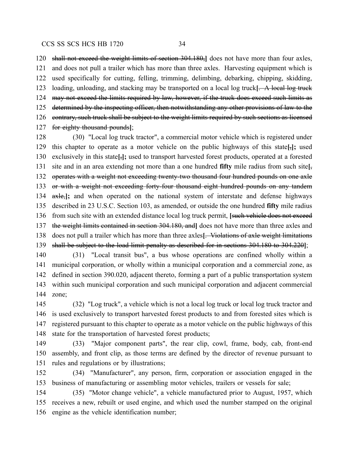shall not exceed the weight limits of section 304.180,**]** does not have more than four axles, and does not pull a trailer which has more than three axles. Harvesting equipment which is used specifically for cutting, felling, trimming, delimbing, debarking, chipping, skidding, loading, unloading, and stacking may be transported on a local log truck**[**. A local log truck 124 may not exceed the limits required by law, however, if the truck does exceed such limits as 125 determined by the inspecting officer, then notwithstanding any other provisions of law to the 126 contrary, such truck shall be subject to the weight limits required by such sections as licensed for eighty thousand pounds**]**;

 (30) "Local log truck tractor", a commercial motor vehicle which is registered under this chapter to operate as a motor vehicle on the public highways of this state**[**,**];** used exclusively in this state**[**,**];** used to transport harvested forest products, operated at a forested site and in an area extending not more than a one hundred **fifty** mile radius from such site**[**, 132 operates with a weight not exceeding twenty-two thousand four hundred pounds on one axle 133 or with a weight not exceeding forty four thousand eight hundred pounds on any tandem axle,**];** and when operated on the national system of interstate and defense highways described in 23 U.S.C. Section 103, as amended, or outside the one hundred **fifty** mile radius from such site with an extended distance local log truck permit, **[**such vehicle does not exceed the weight limits contained in section 304.180, and**]** does not have more than three axles and does not pull a trailer which has more than three axles**[**. Violations of axle weight limitations shall be subject to the load limit penalty as described for in sections 304.180 to 304.220**]**;

 (31) "Local transit bus", a bus whose operations are confined wholly within a municipal corporation, or wholly within a municipal corporation and a commercial zone, as defined in section 390.020, adjacent thereto, forming a part of a public transportation system within such municipal corporation and such municipal corporation and adjacent commercial zone;

 (32) "Log truck", a vehicle which is not a local log truck or local log truck tractor and is used exclusively to transport harvested forest products to and from forested sites which is registered pursuant to this chapter to operate as a motor vehicle on the public highways of this state for the transportation of harvested forest products;

 (33) "Major component parts", the rear clip, cowl, frame, body, cab, front-end assembly, and front clip, as those terms are defined by the director of revenue pursuant to rules and regulations or by illustrations;

 (34) "Manufacturer", any person, firm, corporation or association engaged in the business of manufacturing or assembling motor vehicles, trailers or vessels for sale;

 (35) "Motor change vehicle", a vehicle manufactured prior to August, 1957, which receives a new, rebuilt or used engine, and which used the number stamped on the original engine as the vehicle identification number;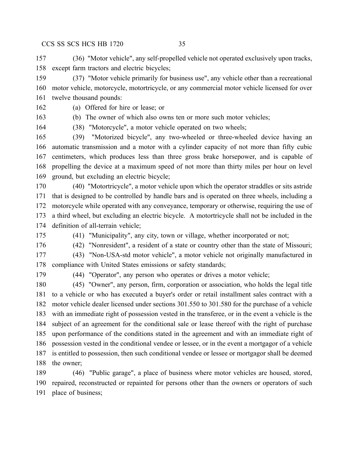(36) "Motor vehicle", any self-propelled vehicle not operated exclusively upon tracks, except farm tractors and electric bicycles;

 (37) "Motor vehicle primarily for business use", any vehicle other than a recreational motor vehicle, motorcycle, motortricycle, or any commercial motor vehicle licensed for over twelve thousand pounds:

(a) Offered for hire or lease; or

(b) The owner of which also owns ten or more such motor vehicles;

(38) "Motorcycle", a motor vehicle operated on two wheels;

 (39) "Motorized bicycle", any two-wheeled or three-wheeled device having an automatic transmission and a motor with a cylinder capacity of not more than fifty cubic centimeters, which produces less than three gross brake horsepower, and is capable of propelling the device at a maximum speed of not more than thirty miles per hour on level ground, but excluding an electric bicycle;

 (40) "Motortricycle", a motor vehicle upon which the operator straddles or sits astride that is designed to be controlled by handle bars and is operated on three wheels, including a motorcycle while operated with any conveyance, temporary or otherwise, requiring the use of a third wheel, but excluding an electric bicycle. A motortricycle shall not be included in the definition of all-terrain vehicle;

(41) "Municipality", any city, town or village, whether incorporated or not;

(42) "Nonresident", a resident of a state or country other than the state of Missouri;

- (43) "Non-USA-std motor vehicle", a motor vehicle not originally manufactured in compliance with United States emissions or safety standards;
- 

(44) "Operator", any person who operates or drives a motor vehicle;

 (45) "Owner", any person, firm, corporation or association, who holds the legal title to a vehicle or who has executed a buyer's order or retail installment sales contract with a motor vehicle dealer licensed under sections 301.550 to 301.580 for the purchase of a vehicle with an immediate right of possession vested in the transferee, or in the event a vehicle is the subject of an agreement for the conditional sale or lease thereof with the right of purchase upon performance of the conditions stated in the agreement and with an immediate right of possession vested in the conditional vendee or lessee, or in the event a mortgagor of a vehicle is entitled to possession, then such conditional vendee or lessee or mortgagor shall be deemed the owner;

 (46) "Public garage", a place of business where motor vehicles are housed, stored, repaired, reconstructed or repainted for persons other than the owners or operators of such place of business;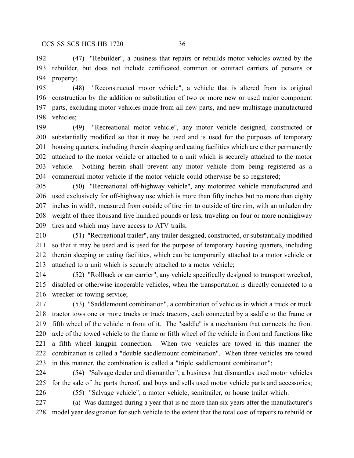(47) "Rebuilder", a business that repairs or rebuilds motor vehicles owned by the rebuilder, but does not include certificated common or contract carriers of persons or property;

 (48) "Reconstructed motor vehicle", a vehicle that is altered from its original construction by the addition or substitution of two or more new or used major component parts, excluding motor vehicles made from all new parts, and new multistage manufactured vehicles;

 (49) "Recreational motor vehicle", any motor vehicle designed, constructed or substantially modified so that it may be used and is used for the purposes of temporary housing quarters, including therein sleeping and eating facilities which are either permanently attached to the motor vehicle or attached to a unit which is securely attached to the motor vehicle. Nothing herein shall prevent any motor vehicle from being registered as a commercial motor vehicle if the motor vehicle could otherwise be so registered;

 (50) "Recreational off-highway vehicle", any motorized vehicle manufactured and used exclusively for off-highway use which is more than fifty inches but no more than eighty inches in width, measured from outside of tire rim to outside of tire rim, with an unladen dry weight of three thousand five hundred pounds or less, traveling on four or more nonhighway tires and which may have access to ATV trails;

 (51) "Recreational trailer", any trailer designed, constructed, or substantially modified so that it may be used and is used for the purpose of temporary housing quarters, including therein sleeping or eating facilities, which can be temporarily attached to a motor vehicle or attached to a unit which is securely attached to a motor vehicle;

 (52) "Rollback or car carrier", any vehicle specifically designed to transport wrecked, disabled or otherwise inoperable vehicles, when the transportation is directly connected to a wrecker or towing service;

 (53) "Saddlemount combination", a combination of vehicles in which a truck or truck tractor tows one or more trucks or truck tractors, each connected by a saddle to the frame or fifth wheel of the vehicle in front of it. The "saddle" is a mechanism that connects the front axle of the towed vehicle to the frame or fifth wheel of the vehicle in front and functions like a fifth wheel kingpin connection. When two vehicles are towed in this manner the combination is called a "double saddlemount combination". When three vehicles are towed in this manner, the combination is called a "triple saddlemount combination";

 (54) "Salvage dealer and dismantler", a business that dismantles used motor vehicles for the sale of the parts thereof, and buys and sells used motor vehicle parts and accessories;

(55) "Salvage vehicle", a motor vehicle, semitrailer, or house trailer which:

 (a) Was damaged during a year that is no more than six years after the manufacturer's model year designation for such vehicle to the extent that the total cost of repairs to rebuild or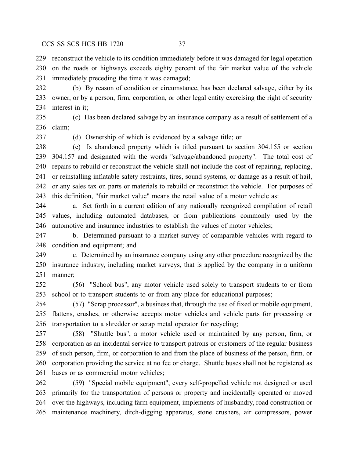reconstruct the vehicle to its condition immediately before it was damaged for legal operation on the roads or highways exceeds eighty percent of the fair market value of the vehicle immediately preceding the time it was damaged;

 (b) By reason of condition or circumstance, has been declared salvage, either by its owner, or by a person, firm, corporation, or other legal entity exercising the right of security interest in it;

 (c) Has been declared salvage by an insurance company as a result of settlement of a claim;

(d) Ownership of which is evidenced by a salvage title; or

 (e) Is abandoned property which is titled pursuant to section 304.155 or section 304.157 and designated with the words "salvage/abandoned property". The total cost of repairs to rebuild or reconstruct the vehicle shall not include the cost of repairing, replacing, or reinstalling inflatable safety restraints, tires, sound systems, or damage as a result of hail, or any sales tax on parts or materials to rebuild or reconstruct the vehicle. For purposes of this definition, "fair market value" means the retail value of a motor vehicle as:

 a. Set forth in a current edition of any nationally recognized compilation of retail values, including automated databases, or from publications commonly used by the automotive and insurance industries to establish the values of motor vehicles;

 b. Determined pursuant to a market survey of comparable vehicles with regard to condition and equipment; and

 c. Determined by an insurance company using any other procedure recognized by the insurance industry, including market surveys, that is applied by the company in a uniform manner;

 (56) "School bus", any motor vehicle used solely to transport students to or from school or to transport students to or from any place for educational purposes;

 (57) "Scrap processor", a business that, through the use of fixed or mobile equipment, flattens, crushes, or otherwise accepts motor vehicles and vehicle parts for processing or transportation to a shredder or scrap metal operator for recycling;

 (58) "Shuttle bus", a motor vehicle used or maintained by any person, firm, or corporation as an incidental service to transport patrons or customers of the regular business of such person, firm, or corporation to and from the place of business of the person, firm, or corporation providing the service at no fee or charge. Shuttle buses shall not be registered as buses or as commercial motor vehicles;

 (59) "Special mobile equipment", every self-propelled vehicle not designed or used primarily for the transportation of persons or property and incidentally operated or moved over the highways, including farm equipment, implements of husbandry, road construction or maintenance machinery, ditch-digging apparatus, stone crushers, air compressors, power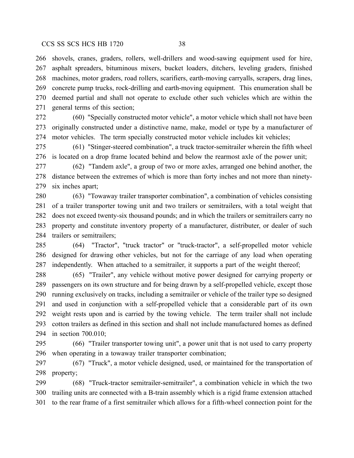shovels, cranes, graders, rollers, well-drillers and wood-sawing equipment used for hire, asphalt spreaders, bituminous mixers, bucket loaders, ditchers, leveling graders, finished machines, motor graders, road rollers, scarifiers, earth-moving carryalls, scrapers, drag lines, concrete pump trucks, rock-drilling and earth-moving equipment. This enumeration shall be deemed partial and shall not operate to exclude other such vehicles which are within the general terms of this section;

 (60) "Specially constructed motor vehicle", a motor vehicle which shall not have been originally constructed under a distinctive name, make, model or type by a manufacturer of motor vehicles. The term specially constructed motor vehicle includes kit vehicles;

 (61) "Stinger-steered combination", a truck tractor-semitrailer wherein the fifth wheel is located on a drop frame located behind and below the rearmost axle of the power unit;

 (62) "Tandem axle", a group of two or more axles, arranged one behind another, the distance between the extremes of which is more than forty inches and not more than ninety-six inches apart;

 (63) "Towaway trailer transporter combination", a combination of vehicles consisting of a trailer transporter towing unit and two trailers or semitrailers, with a total weight that does not exceed twenty-six thousand pounds; and in which the trailers or semitrailers carry no property and constitute inventory property of a manufacturer, distributer, or dealer of such trailers or semitrailers;

 (64) "Tractor", "truck tractor" or "truck-tractor", a self-propelled motor vehicle designed for drawing other vehicles, but not for the carriage of any load when operating independently. When attached to a semitrailer, it supports a part of the weight thereof;

 (65) "Trailer", any vehicle without motive power designed for carrying property or passengers on its own structure and for being drawn by a self-propelled vehicle, except those running exclusively on tracks, including a semitrailer or vehicle of the trailer type so designed and used in conjunction with a self-propelled vehicle that a considerable part of its own weight rests upon and is carried by the towing vehicle. The term trailer shall not include cotton trailers as defined in this section and shall not include manufactured homes as defined in section 700.010;

 (66) "Trailer transporter towing unit", a power unit that is not used to carry property when operating in a towaway trailer transporter combination;

 (67) "Truck", a motor vehicle designed, used, or maintained for the transportation of property;

 (68) "Truck-tractor semitrailer-semitrailer", a combination vehicle in which the two trailing units are connected with a B-train assembly which is a rigid frame extension attached to the rear frame of a first semitrailer which allows for a fifth-wheel connection point for the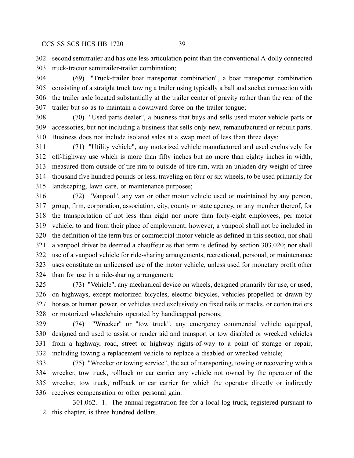second semitrailer and has one less articulation point than the conventional A-dolly connected truck-tractor semitrailer-trailer combination;

 (69) "Truck-trailer boat transporter combination", a boat transporter combination consisting of a straight truck towing a trailer using typically a ball and socket connection with the trailer axle located substantially at the trailer center of gravity rather than the rear of the trailer but so as to maintain a downward force on the trailer tongue;

 (70) "Used parts dealer", a business that buys and sells used motor vehicle parts or accessories, but not including a business that sells only new, remanufactured or rebuilt parts. Business does not include isolated sales at a swap meet of less than three days;

 (71) "Utility vehicle", any motorized vehicle manufactured and used exclusively for off-highway use which is more than fifty inches but no more than eighty inches in width, measured from outside of tire rim to outside of tire rim, with an unladen dry weight of three thousand five hundred pounds or less, traveling on four or six wheels, to be used primarily for landscaping, lawn care, or maintenance purposes;

 (72) "Vanpool", any van or other motor vehicle used or maintained by any person, group, firm, corporation, association, city, county or state agency, or any member thereof, for the transportation of not less than eight nor more than forty-eight employees, per motor vehicle, to and from their place of employment; however, a vanpool shall not be included in the definition of the term bus or commercial motor vehicle as defined in this section, nor shall a vanpool driver be deemed a chauffeur as that term is defined by section 303.020; nor shall use of a vanpool vehicle for ride-sharing arrangements, recreational, personal, or maintenance uses constitute an unlicensed use of the motor vehicle, unless used for monetary profit other than for use in a ride-sharing arrangement;

 (73) "Vehicle", any mechanical device on wheels, designed primarily for use, or used, on highways, except motorized bicycles, electric bicycles, vehicles propelled or drawn by horses or human power, or vehicles used exclusively on fixed rails or tracks, or cotton trailers or motorized wheelchairs operated by handicapped persons;

 (74) "Wrecker" or "tow truck", any emergency commercial vehicle equipped, designed and used to assist or render aid and transport or tow disabled or wrecked vehicles from a highway, road, street or highway rights-of-way to a point of storage or repair, including towing a replacement vehicle to replace a disabled or wrecked vehicle;

 (75) "Wrecker or towing service", the act of transporting, towing or recovering with a wrecker, tow truck, rollback or car carrier any vehicle not owned by the operator of the wrecker, tow truck, rollback or car carrier for which the operator directly or indirectly receives compensation or other personal gain.

301.062. 1. The annual registration fee for a local log truck, registered pursuant to this chapter, is three hundred dollars.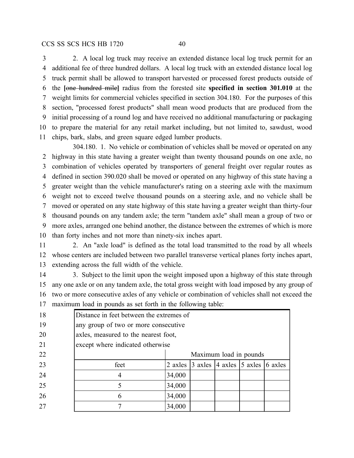2. A local log truck may receive an extended distance local log truck permit for an additional fee of three hundred dollars. A local log truck with an extended distance local log truck permit shall be allowed to transport harvested or processed forest products outside of the **[**one hundred mile**]** radius from the forested site **specified in section 301.010** at the weight limits for commercial vehicles specified in section 304.180. For the purposes of this section, "processed forest products" shall mean wood products that are produced from the initial processing of a round log and have received no additional manufacturing or packaging to prepare the material for any retail market including, but not limited to, sawdust, wood chips, bark, slabs, and green square edged lumber products.

304.180. 1. No vehicle or combination of vehicles shall be moved or operated on any highway in this state having a greater weight than twenty thousand pounds on one axle, no combination of vehicles operated by transporters of general freight over regular routes as defined in section 390.020 shall be moved or operated on any highway of this state having a greater weight than the vehicle manufacturer's rating on a steering axle with the maximum weight not to exceed twelve thousand pounds on a steering axle, and no vehicle shall be moved or operated on any state highway of this state having a greater weight than thirty-four thousand pounds on any tandem axle; the term "tandem axle" shall mean a group of two or more axles, arranged one behind another, the distance between the extremes of which is more than forty inches and not more than ninety-six inches apart.

 2. An "axle load" is defined as the total load transmitted to the road by all wheels whose centers are included between two parallel transverse vertical planes forty inches apart, extending across the full width of the vehicle.

14 3. Subject to the limit upon the weight imposed upon a highway of this state through any one axle or on any tandem axle, the total gross weight with load imposed by any group of two or more consecutive axles of any vehicle or combination of vehicles shall not exceed the maximum load in pounds as set forth in the following table:

| 18            | Distance in feet between the extremes of |                        |                                                                         |  |  |  |  |
|---------------|------------------------------------------|------------------------|-------------------------------------------------------------------------|--|--|--|--|
| 19            | any group of two or more consecutive     |                        |                                                                         |  |  |  |  |
| <sup>20</sup> | axles, measured to the nearest foot,     |                        |                                                                         |  |  |  |  |
| 21            | except where indicated otherwise         |                        |                                                                         |  |  |  |  |
| 22            |                                          | Maximum load in pounds |                                                                         |  |  |  |  |
| 23            | feet                                     |                        | 2 axles $\vert$ 3 axles $\vert$ 4 axles $\vert$ 5 axles $\vert$ 6 axles |  |  |  |  |
| 24            |                                          | 34,000                 |                                                                         |  |  |  |  |
| 25            |                                          | 34,000                 |                                                                         |  |  |  |  |
| 26            | 6                                        | 34,000                 |                                                                         |  |  |  |  |
| 27            |                                          | 34,000                 |                                                                         |  |  |  |  |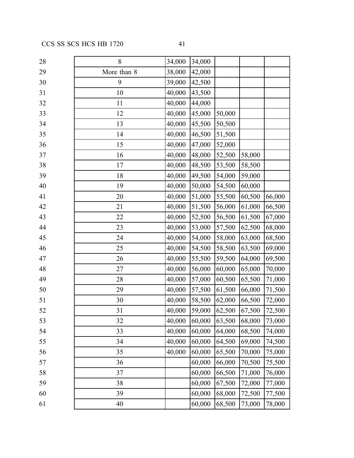| 28 | 8           | 34,000 | 34,000 |        |        |        |
|----|-------------|--------|--------|--------|--------|--------|
| 29 | More than 8 | 38,000 | 42,000 |        |        |        |
| 30 | 9           | 39,000 | 42,500 |        |        |        |
| 31 | 10          | 40,000 | 43,500 |        |        |        |
| 32 | 11          | 40,000 | 44,000 |        |        |        |
| 33 | 12          | 40,000 | 45,000 | 50,000 |        |        |
| 34 | 13          | 40,000 | 45,500 | 50,500 |        |        |
| 35 | 14          | 40,000 | 46,500 | 51,500 |        |        |
| 36 | 15          | 40,000 | 47,000 | 52,000 |        |        |
| 37 | 16          | 40,000 | 48,000 | 52,500 | 58,000 |        |
| 38 | 17          | 40,000 | 48,500 | 53,500 | 58,500 |        |
| 39 | 18          | 40,000 | 49,500 | 54,000 | 59,000 |        |
| 40 | 19          | 40,000 | 50,000 | 54,500 | 60,000 |        |
| 41 | 20          | 40,000 | 51,000 | 55,500 | 60,500 | 66,000 |
| 42 | 21          | 40,000 | 51,500 | 56,000 | 61,000 | 66,500 |
| 43 | 22          | 40,000 | 52,500 | 56,500 | 61,500 | 67,000 |
| 44 | 23          | 40,000 | 53,000 | 57,500 | 62,500 | 68,000 |
| 45 | 24          | 40,000 | 54,000 | 58,000 | 63,000 | 68,500 |
| 46 | 25          | 40,000 | 54,500 | 58,500 | 63,500 | 69,000 |
| 47 | 26          | 40,000 | 55,500 | 59,500 | 64,000 | 69,500 |
| 48 | 27          | 40,000 | 56,000 | 60,000 | 65,000 | 70,000 |
| 49 | 28          | 40,000 | 57,000 | 60,500 | 65,500 | 71,000 |
| 50 | 29          | 40,000 | 57,500 | 61,500 | 66,000 | 71,500 |
| 51 | 30          | 40,000 | 58,500 | 62,000 | 66,500 | 72,000 |
| 52 | 31          | 40,000 | 59,000 | 62,500 | 67,500 | 72,500 |
| 53 | 32          | 40,000 | 60,000 | 63,500 | 68,000 | 73,000 |
| 54 | 33          | 40,000 | 60,000 | 64,000 | 68,500 | 74,000 |
| 55 | 34          | 40,000 | 60,000 | 64,500 | 69,000 | 74,500 |
| 56 | 35          | 40,000 | 60,000 | 65,500 | 70,000 | 75,000 |
| 57 | 36          |        | 60,000 | 66,000 | 70,500 | 75,500 |
| 58 | 37          |        | 60,000 | 66,500 | 71,000 | 76,000 |
| 59 | 38          |        | 60,000 | 67,500 | 72,000 | 77,000 |
| 60 | 39          |        | 60,000 | 68,000 | 72,500 | 77,500 |
| 61 | 40          |        | 60,000 | 68,500 | 73,000 | 78,000 |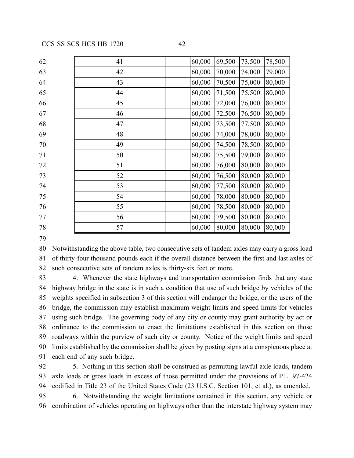| 62 | 41 | 60,000 | 69,500 | 73,500 | 78,500 |
|----|----|--------|--------|--------|--------|
| 63 | 42 | 60,000 | 70,000 | 74,000 | 79,000 |
| 64 | 43 | 60,000 | 70,500 | 75,000 | 80,000 |
| 65 | 44 | 60,000 | 71,500 | 75,500 | 80,000 |
| 66 | 45 | 60,000 | 72,000 | 76,000 | 80,000 |
| 67 | 46 | 60,000 | 72,500 | 76,500 | 80,000 |
| 68 | 47 | 60,000 | 73,500 | 77,500 | 80,000 |
| 69 | 48 | 60,000 | 74,000 | 78,000 | 80,000 |
| 70 | 49 | 60,000 | 74,500 | 78,500 | 80,000 |
| 71 | 50 | 60,000 | 75,500 | 79,000 | 80,000 |
| 72 | 51 | 60,000 | 76,000 | 80,000 | 80,000 |
| 73 | 52 | 60,000 | 76,500 | 80,000 | 80,000 |
| 74 | 53 | 60,000 | 77,500 | 80,000 | 80,000 |
| 75 | 54 | 60,000 | 78,000 | 80,000 | 80,000 |
| 76 | 55 | 60,000 | 78,500 | 80,000 | 80,000 |
| 77 | 56 | 60,000 | 79,500 | 80,000 | 80,000 |
| 78 | 57 | 60,000 | 80,000 | 80,000 | 80,000 |

 Notwithstanding the above table, two consecutive sets of tandem axles may carry a gross load of thirty-four thousand pounds each if the overall distance between the first and last axles of such consecutive sets of tandem axles is thirty-six feet or more.

 4. Whenever the state highways and transportation commission finds that any state highway bridge in the state is in such a condition that use of such bridge by vehicles of the weights specified in subsection 3 of this section will endanger the bridge, or the users of the bridge, the commission may establish maximum weight limits and speed limits for vehicles using such bridge. The governing body of any city or county may grant authority by act or ordinance to the commission to enact the limitations established in this section on those roadways within the purview of such city or county. Notice of the weight limits and speed limits established by the commission shall be given by posting signs at a conspicuous place at each end of any such bridge.

 5. Nothing in this section shall be construed as permitting lawful axle loads, tandem axle loads or gross loads in excess of those permitted under the provisions of P.L. 97-424 codified in Title 23 of the United States Code (23 U.S.C. Section 101, et al.), as amended.

 6. Notwithstanding the weight limitations contained in this section, any vehicle or combination of vehicles operating on highways other than the interstate highway system may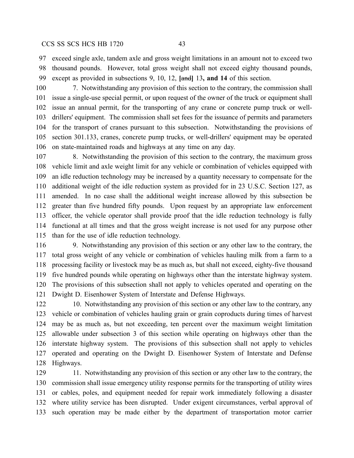exceed single axle, tandem axle and gross weight limitations in an amount not to exceed two thousand pounds. However, total gross weight shall not exceed eighty thousand pounds, except as provided in subsections 9, 10, 12, **[**and**]** 13**, and 14** of this section.

 7. Notwithstanding any provision of this section to the contrary, the commission shall issue a single-use special permit, or upon request of the owner of the truck or equipment shall issue an annual permit, for the transporting of any crane or concrete pump truck or well- drillers' equipment. The commission shall set fees for the issuance of permits and parameters for the transport of cranes pursuant to this subsection. Notwithstanding the provisions of section 301.133, cranes, concrete pump trucks, or well-drillers' equipment may be operated on state-maintained roads and highways at any time on any day.

 8. Notwithstanding the provision of this section to the contrary, the maximum gross vehicle limit and axle weight limit for any vehicle or combination of vehicles equipped with an idle reduction technology may be increased by a quantity necessary to compensate for the additional weight of the idle reduction system as provided for in 23 U.S.C. Section 127, as amended. In no case shall the additional weight increase allowed by this subsection be greater than five hundred fifty pounds. Upon request by an appropriate law enforcement officer, the vehicle operator shall provide proof that the idle reduction technology is fully functional at all times and that the gross weight increase is not used for any purpose other than for the use of idle reduction technology.

 9. Notwithstanding any provision of this section or any other law to the contrary, the total gross weight of any vehicle or combination of vehicles hauling milk from a farm to a processing facility or livestock may be as much as, but shall not exceed, eighty-five thousand five hundred pounds while operating on highways other than the interstate highway system. The provisions of this subsection shall not apply to vehicles operated and operating on the Dwight D. Eisenhower System of Interstate and Defense Highways.

122 10. Notwithstanding any provision of this section or any other law to the contrary, any vehicle or combination of vehicles hauling grain or grain coproducts during times of harvest may be as much as, but not exceeding, ten percent over the maximum weight limitation allowable under subsection 3 of this section while operating on highways other than the interstate highway system. The provisions of this subsection shall not apply to vehicles operated and operating on the Dwight D. Eisenhower System of Interstate and Defense Highways.

129 11. Notwithstanding any provision of this section or any other law to the contrary, the commission shall issue emergency utility response permits for the transporting of utility wires or cables, poles, and equipment needed for repair work immediately following a disaster where utility service has been disrupted. Under exigent circumstances, verbal approval of such operation may be made either by the department of transportation motor carrier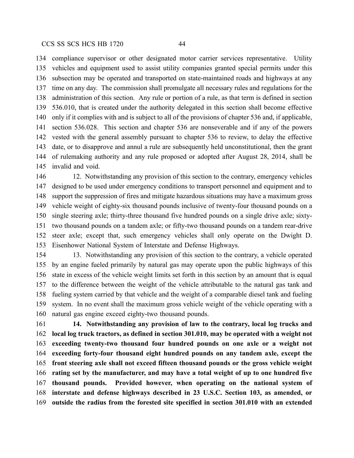compliance supervisor or other designated motor carrier services representative. Utility vehicles and equipment used to assist utility companies granted special permits under this subsection may be operated and transported on state-maintained roads and highways at any time on any day. The commission shall promulgate all necessary rules and regulations for the administration of this section. Any rule or portion of a rule, as that term is defined in section 536.010, that is created under the authority delegated in this section shall become effective only if it complies with and is subject to all of the provisions of chapter 536 and, if applicable, section 536.028. This section and chapter 536 are nonseverable and if any of the powers vested with the general assembly pursuant to chapter 536 to review, to delay the effective date, or to disapprove and annul a rule are subsequently held unconstitutional, then the grant of rulemaking authority and any rule proposed or adopted after August 28, 2014, shall be invalid and void.

 12. Notwithstanding any provision of this section to the contrary, emergency vehicles designed to be used under emergency conditions to transport personnel and equipment and to support the suppression of fires and mitigate hazardous situations may have a maximum gross vehicle weight of eighty-six thousand pounds inclusive of twenty-four thousand pounds on a single steering axle; thirty-three thousand five hundred pounds on a single drive axle; sixty- two thousand pounds on a tandem axle; or fifty-two thousand pounds on a tandem rear-drive steer axle; except that, such emergency vehicles shall only operate on the Dwight D. Eisenhower National System of Interstate and Defense Highways.

 13. Notwithstanding any provision of this section to the contrary, a vehicle operated by an engine fueled primarily by natural gas may operate upon the public highways of this state in excess of the vehicle weight limits set forth in this section by an amount that is equal to the difference between the weight of the vehicle attributable to the natural gas tank and fueling system carried by that vehicle and the weight of a comparable diesel tank and fueling system. In no event shall the maximum gross vehicle weight of the vehicle operating with a natural gas engine exceed eighty-two thousand pounds.

 **14. Notwithstanding any provision of law to the contrary, local log trucks and local log truck tractors, as defined in section 301.010, may be operated with a weight not exceeding twenty-two thousand four hundred pounds on one axle or a weight not exceeding forty-four thousand eight hundred pounds on any tandem axle, except the front steering axle shall not exceed fifteen thousand pounds or the gross vehicle weight rating set by the manufacturer, and may have a total weight of up to one hundred five thousand pounds. Provided however, when operating on the national system of interstate and defense highways described in 23 U.S.C. Section 103, as amended, or outside the radius from the forested site specified in section 301.010 with an extended**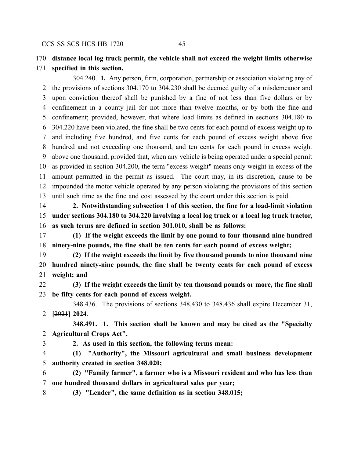## **distance local log truck permit, the vehicle shall not exceed the weight limits otherwise**

### **specified in this section.**

304.240. **1.** Any person, firm, corporation, partnership or association violating any of the provisions of sections 304.170 to 304.230 shall be deemed guilty of a misdemeanor and upon conviction thereof shall be punished by a fine of not less than five dollars or by confinement in a county jail for not more than twelve months, or by both the fine and confinement; provided, however, that where load limits as defined in sections 304.180 to 304.220 have been violated, the fine shall be two cents for each pound of excess weight up to and including five hundred, and five cents for each pound of excess weight above five hundred and not exceeding one thousand, and ten cents for each pound in excess weight above one thousand; provided that, when any vehicle is being operated under a special permit as provided in section 304.200, the term "excess weight" means only weight in excess of the amount permitted in the permit as issued. The court may, in its discretion, cause to be impounded the motor vehicle operated by any person violating the provisions of this section until such time as the fine and cost assessed by the court under this section is paid.

 **2. Notwithstanding subsection 1 of this section, the fine for a load-limit violation under sections 304.180 to 304.220 involving a local log truck or a local log truck tractor, as such terms are defined in section 301.010, shall be as follows:**

 **(1) If the weight exceeds the limit by one pound to four thousand nine hundred ninety-nine pounds, the fine shall be ten cents for each pound of excess weight;**

 **(2) If the weight exceeds the limit by five thousand pounds to nine thousand nine hundred ninety-nine pounds, the fine shall be twenty cents for each pound of excess weight; and**

 **(3) If the weight exceeds the limit by ten thousand pounds or more, the fine shall be fifty cents for each pound of excess weight.**

348.436. The provisions of sections 348.430 to 348.436 shall expire December 31, **[**2021**] 2024**.

**348.491. 1. This section shall be known and may be cited as the "Specialty Agricultural Crops Act".**

**2. As used in this section, the following terms mean:**

 **(1) "Authority", the Missouri agricultural and small business development authority created in section 348.020;**

 **(2) "Family farmer", a farmer who is a Missouri resident and who has less than one hundred thousand dollars in agricultural sales per year;**

**(3) "Lender", the same definition as in section 348.015;**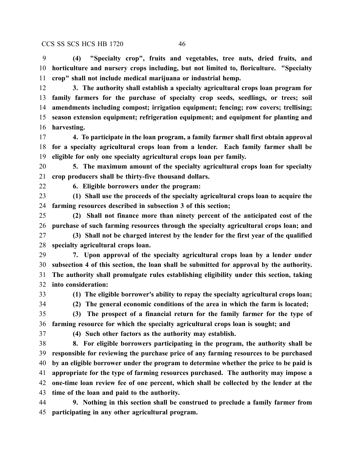**(4) "Specialty crop", fruits and vegetables, tree nuts, dried fruits, and horticulture and nursery crops including, but not limited to, floriculture. "Specialty crop" shall not include medical marijuana or industrial hemp.**

 **3. The authority shall establish a specialty agricultural crops loan program for family farmers for the purchase of specialty crop seeds, seedlings, or trees; soil amendments including compost; irrigation equipment; fencing; row covers; trellising; season extension equipment; refrigeration equipment; and equipment for planting and harvesting.**

 **4. To participate in the loan program, a family farmer shall first obtain approval for a specialty agricultural crops loan from a lender. Each family farmer shall be eligible for only one specialty agricultural crops loan per family.**

 **5. The maximum amount of the specialty agricultural crops loan for specialty crop producers shall be thirty-five thousand dollars.**

**6. Eligible borrowers under the program:**

 **(1) Shall use the proceeds of the specialty agricultural crops loan to acquire the farming resources described in subsection 3 of this section;**

 **(2) Shall not finance more than ninety percent of the anticipated cost of the purchase of such farming resources through the specialty agricultural crops loan; and**

 **(3) Shall not be charged interest by the lender for the first year of the qualified specialty agricultural crops loan.**

 **7. Upon approval of the specialty agricultural crops loan by a lender under subsection 4 of this section, the loan shall be submitted for approval by the authority. The authority shall promulgate rules establishing eligibility under this section, taking into consideration:**

**(1) The eligible borrower's ability to repay the specialty agricultural crops loan;**

**(2) The general economic conditions of the area in which the farm is located;**

 **(3) The prospect of a financial return for the family farmer for the type of farming resource for which the specialty agricultural crops loan is sought; and**

**(4) Such other factors as the authority may establish.**

 **8. For eligible borrowers participating in the program, the authority shall be responsible for reviewing the purchase price of any farming resources to be purchased by an eligible borrower under the program to determine whether the price to be paid is appropriate for the type of farming resources purchased. The authority may impose a one-time loan review fee of one percent, which shall be collected by the lender at the time of the loan and paid to the authority.**

 **9. Nothing in this section shall be construed to preclude a family farmer from participating in any other agricultural program.**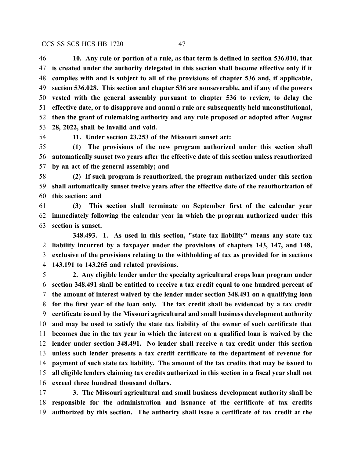**10. Any rule or portion of a rule, as that term is defined in section 536.010, that is created under the authority delegated in this section shall become effective only if it complies with and is subject to all of the provisions of chapter 536 and, if applicable, section 536.028. This section and chapter 536 are nonseverable, and if any of the powers vested with the general assembly pursuant to chapter 536 to review, to delay the effective date, or to disapprove and annul a rule are subsequently held unconstitutional, then the grant of rulemaking authority and any rule proposed or adopted after August 28, 2022, shall be invalid and void.**

**11. Under section 23.253 of the Missouri sunset act:**

 **(1) The provisions of the new program authorized under this section shall automatically sunset two years after the effective date of this section unless reauthorized by an act of the general assembly; and**

 **(2) If such program is reauthorized, the program authorized under this section shall automatically sunset twelve years after the effective date of the reauthorization of this section; and**

 **(3) This section shall terminate on September first of the calendar year immediately following the calendar year in which the program authorized under this section is sunset.**

**348.493. 1. As used in this section, "state tax liability" means any state tax liability incurred by a taxpayer under the provisions of chapters 143, 147, and 148, exclusive of the provisions relating to the withholding of tax as provided for in sections 143.191 to 143.265 and related provisions.**

 **2. Any eligible lender under the specialty agricultural crops loan program under section 348.491 shall be entitled to receive a tax credit equal to one hundred percent of the amount of interest waived by the lender under section 348.491 on a qualifying loan for the first year of the loan only. The tax credit shall be evidenced by a tax credit certificate issued by the Missouri agricultural and small business development authority and may be used to satisfy the state tax liability of the owner of such certificate that becomes due in the tax year in which the interest on a qualified loan is waived by the lender under section 348.491. No lender shall receive a tax credit under this section unless such lender presents a tax credit certificate to the department of revenue for payment of such state tax liability. The amount of the tax credits that may be issued to all eligible lenders claiming tax credits authorized in this section in a fiscal year shall not exceed three hundred thousand dollars.**

 **3. The Missouri agricultural and small business development authority shall be responsible for the administration and issuance of the certificate of tax credits authorized by this section. The authority shall issue a certificate of tax credit at the**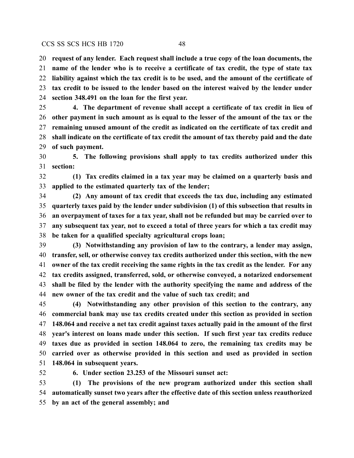**request of any lender. Each request shall include a true copy of the loan documents, the name of the lender who is to receive a certificate of tax credit, the type of state tax liability against which the tax credit is to be used, and the amount of the certificate of tax credit to be issued to the lender based on the interest waived by the lender under section 348.491 on the loan for the first year.**

 **4. The department of revenue shall accept a certificate of tax credit in lieu of other payment in such amount as is equal to the lesser of the amount of the tax or the remaining unused amount of the credit as indicated on the certificate of tax credit and shall indicate on the certificate of tax credit the amount of tax thereby paid and the date of such payment.**

 **5. The following provisions shall apply to tax credits authorized under this section:**

 **(1) Tax credits claimed in a tax year may be claimed on a quarterly basis and applied to the estimated quarterly tax of the lender;**

 **(2) Any amount of tax credit that exceeds the tax due, including any estimated quarterly taxes paid by the lender under subdivision (1) of this subsection that results in an overpayment of taxes for a tax year, shall not be refunded but may be carried over to any subsequent tax year, not to exceed a total of three years for which a tax credit may be taken for a qualified specialty agricultural crops loan;**

 **(3) Notwithstanding any provision of law to the contrary, a lender may assign, transfer, sell, or otherwise convey tax credits authorized under this section, with the new owner of the tax credit receiving the same rights in the tax credit as the lender. For any tax credits assigned, transferred, sold, or otherwise conveyed, a notarized endorsement shall be filed by the lender with the authority specifying the name and address of the new owner of the tax credit and the value of such tax credit; and**

 **(4) Notwithstanding any other provision of this section to the contrary, any commercial bank may use tax credits created under this section as provided in section 148.064 and receive a net tax credit against taxes actually paid in the amount of the first year's interest on loans made under this section. If such first year tax credits reduce taxes due as provided in section 148.064 to zero, the remaining tax credits may be carried over as otherwise provided in this section and used as provided in section 148.064 in subsequent years.**

**6. Under section 23.253 of the Missouri sunset act:**

 **(1) The provisions of the new program authorized under this section shall automatically sunset two years after the effective date of this section unless reauthorized by an act of the general assembly; and**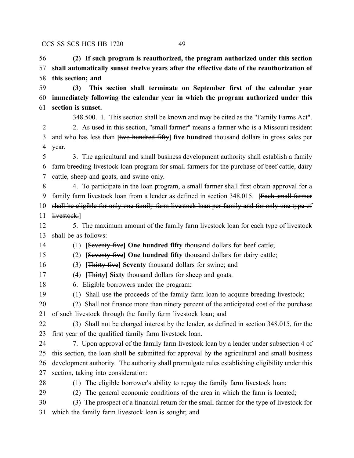**(2) If such program is reauthorized, the program authorized under this section shall automatically sunset twelve years after the effective date of the reauthorization of this section; and**

 **(3) This section shall terminate on September first of the calendar year immediately following the calendar year in which the program authorized under this section is sunset.**

348.500. 1. This section shall be known and may be cited as the "Family Farms Act".

 2. As used in this section, "small farmer" means a farmer who is a Missouri resident and who has less than **[**two hundred fifty**] five hundred** thousand dollars in gross sales per year.

 3. The agricultural and small business development authority shall establish a family farm breeding livestock loan program for small farmers for the purchase of beef cattle, dairy cattle, sheep and goats, and swine only.

 4. To participate in the loan program, a small farmer shall first obtain approval for a family farm livestock loan from a lender as defined in section 348.015. **[**Each small farmer

shall be eligible for only one family farm livestock loan per family and for only one type of

livestock.**]**

 5. The maximum amount of the family farm livestock loan for each type of livestock shall be as follows:

(1) **[**Seventy-five**] One hundred fifty** thousand dollars for beef cattle;

(2) **[**Seventy-five**] One hundred fifty** thousand dollars for dairy cattle;

(3) **[**Thirty-five**] Seventy** thousand dollars for swine; and

- (4) **[**Thirty**] Sixty** thousand dollars for sheep and goats.
- 6. Eligible borrowers under the program:
- (1) Shall use the proceeds of the family farm loan to acquire breeding livestock;

 (2) Shall not finance more than ninety percent of the anticipated cost of the purchase of such livestock through the family farm livestock loan; and

 (3) Shall not be charged interest by the lender, as defined in section 348.015, for the first year of the qualified family farm livestock loan.

 7. Upon approval of the family farm livestock loan by a lender under subsection 4 of this section, the loan shall be submitted for approval by the agricultural and small business development authority. The authority shall promulgate rules establishing eligibility under this section, taking into consideration:

(1) The eligible borrower's ability to repay the family farm livestock loan;

(2) The general economic conditions of the area in which the farm is located;

 (3) The prospect of a financial return for the small farmer for the type of livestock for which the family farm livestock loan is sought; and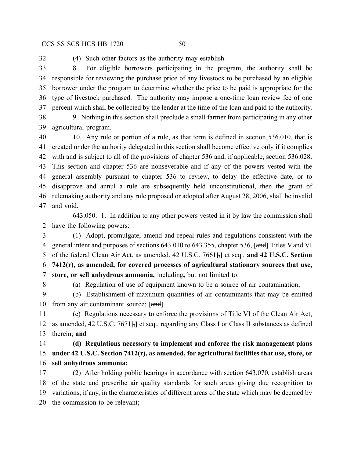(4) Such other factors as the authority may establish.

 8. For eligible borrowers participating in the program, the authority shall be responsible for reviewing the purchase price of any livestock to be purchased by an eligible borrower under the program to determine whether the price to be paid is appropriate for the type of livestock purchased. The authority may impose a one-time loan review fee of one percent which shall be collected by the lender at the time of the loan and paid to the authority.

 9. Nothing in this section shall preclude a small farmer from participating in any other agricultural program.

40 10. Any rule or portion of a rule, as that term is defined in section 536.010, that is created under the authority delegated in this section shall become effective only if it complies with and is subject to all of the provisions of chapter 536 and, if applicable, section 536.028. This section and chapter 536 are nonseverable and if any of the powers vested with the general assembly pursuant to chapter 536 to review, to delay the effective date, or to disapprove and annul a rule are subsequently held unconstitutional, then the grant of rulemaking authority and any rule proposed or adopted after August 28, 2006, shall be invalid and void.

643.050. 1. In addition to any other powers vested in it by law the commission shall have the following powers:

 (1) Adopt, promulgate, amend and repeal rules and regulations consistent with the general intent and purposes of sections 643.010 to 643.355, chapter 536, **[**and**]** Titles Vand VI of the federal Clean Air Act, as amended, 42 U.S.C. 7661**[**,**]** et seq., **and 42 U.S.C. Section 7412(r), as amended, for covered processes of agricultural stationary sources that use, store, or sell anhydrous ammonia,** including**,** but not limited to:

(a) Regulation of use of equipment known to be a source of air contamination;

 (b) Establishment of maximum quantities of air contaminants that may be emitted from any air contaminant source; **[**and**]**

 (c) Regulations necessary to enforce the provisions of Title VI of the Clean Air Act, as amended, 42 U.S.C. 7671**[**,**]** et seq., regarding any Class I or Class II substances as defined therein; **and**

 **(d) Regulations necessary to implement and enforce the risk management plans under 42 U.S.C. Section 7412(r), as amended, for agricultural facilities that use, store, or sell anhydrous ammonia;**

 (2) After holding public hearings in accordance with section 643.070, establish areas of the state and prescribe air quality standards for such areas giving due recognition to variations, if any, in the characteristics of different areas of the state which may be deemed by the commission to be relevant;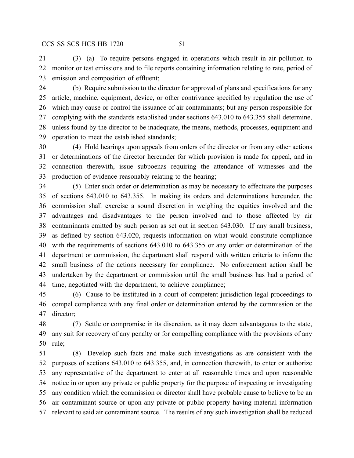(3) (a) To require persons engaged in operations which result in air pollution to monitor or test emissions and to file reports containing information relating to rate, period of emission and composition of effluent;

 (b) Require submission to the director for approval of plans and specifications for any article, machine, equipment, device, or other contrivance specified by regulation the use of which may cause or control the issuance of air contaminants; but any person responsible for complying with the standards established under sections 643.010 to 643.355 shall determine, unless found by the director to be inadequate, the means, methods, processes, equipment and operation to meet the established standards;

 (4) Hold hearings upon appeals from orders of the director or from any other actions or determinations of the director hereunder for which provision is made for appeal, and in connection therewith, issue subpoenas requiring the attendance of witnesses and the production of evidence reasonably relating to the hearing;

 (5) Enter such order or determination as may be necessary to effectuate the purposes of sections 643.010 to 643.355. In making its orders and determinations hereunder, the commission shall exercise a sound discretion in weighing the equities involved and the advantages and disadvantages to the person involved and to those affected by air contaminants emitted by such person as set out in section 643.030. If any small business, as defined by section 643.020, requests information on what would constitute compliance with the requirements of sections 643.010 to 643.355 or any order or determination of the department or commission, the department shall respond with written criteria to inform the small business of the actions necessary for compliance. No enforcement action shall be undertaken by the department or commission until the small business has had a period of time, negotiated with the department, to achieve compliance;

 (6) Cause to be instituted in a court of competent jurisdiction legal proceedings to compel compliance with any final order or determination entered by the commission or the director;

 (7) Settle or compromise in its discretion, as it may deem advantageous to the state, any suit for recovery of any penalty or for compelling compliance with the provisions of any rule;

 (8) Develop such facts and make such investigations as are consistent with the purposes of sections 643.010 to 643.355, and, in connection therewith, to enter or authorize any representative of the department to enter at all reasonable times and upon reasonable notice in or upon any private or public property for the purpose of inspecting or investigating any condition which the commission or director shall have probable cause to believe to be an air contaminant source or upon any private or public property having material information relevant to said air contaminant source. The results of any such investigation shall be reduced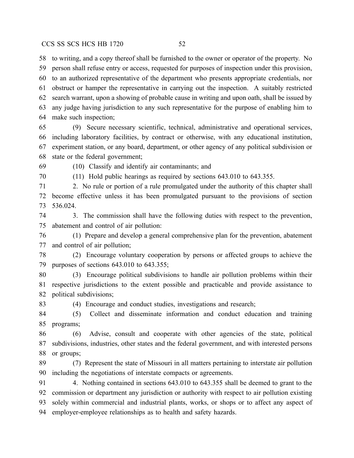to writing, and a copy thereof shall be furnished to the owner or operator of the property. No person shall refuse entry or access, requested for purposes of inspection under this provision, to an authorized representative of the department who presents appropriate credentials, nor obstruct or hamper the representative in carrying out the inspection. A suitably restricted search warrant, upon a showing of probable cause in writing and upon oath, shall be issued by any judge having jurisdiction to any such representative for the purpose of enabling him to make such inspection;

 (9) Secure necessary scientific, technical, administrative and operational services, including laboratory facilities, by contract or otherwise, with any educational institution, experiment station, or any board, department, or other agency of any political subdivision or state or the federal government;

(10) Classify and identify air contaminants; and

(11) Hold public hearings as required by sections 643.010 to 643.355.

 2. No rule or portion of a rule promulgated under the authority of this chapter shall become effective unless it has been promulgated pursuant to the provisions of section 536.024.

 3. The commission shall have the following duties with respect to the prevention, abatement and control of air pollution:

 (1) Prepare and develop a general comprehensive plan for the prevention, abatement and control of air pollution;

 (2) Encourage voluntary cooperation by persons or affected groups to achieve the purposes of sections 643.010 to 643.355;

 (3) Encourage political subdivisions to handle air pollution problems within their respective jurisdictions to the extent possible and practicable and provide assistance to political subdivisions;

(4) Encourage and conduct studies, investigations and research;

 (5) Collect and disseminate information and conduct education and training programs;

 (6) Advise, consult and cooperate with other agencies of the state, political subdivisions, industries, other states and the federal government, and with interested persons or groups;

 (7) Represent the state of Missouri in all matters pertaining to interstate air pollution including the negotiations of interstate compacts or agreements.

 4. Nothing contained in sections 643.010 to 643.355 shall be deemed to grant to the commission or department any jurisdiction or authority with respect to air pollution existing solely within commercial and industrial plants, works, or shops or to affect any aspect of employer-employee relationships as to health and safety hazards.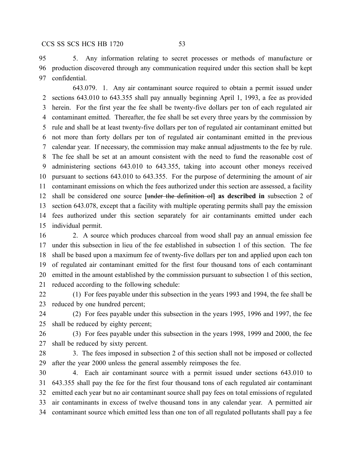5. Any information relating to secret processes or methods of manufacture or production discovered through any communication required under this section shall be kept confidential.

643.079. 1. Any air contaminant source required to obtain a permit issued under sections 643.010 to 643.355 shall pay annually beginning April 1, 1993, a fee as provided herein. For the first year the fee shall be twenty-five dollars per ton of each regulated air contaminant emitted. Thereafter, the fee shall be set every three years by the commission by rule and shall be at least twenty-five dollars per ton of regulated air contaminant emitted but not more than forty dollars per ton of regulated air contaminant emitted in the previous calendar year. If necessary, the commission may make annual adjustments to the fee by rule. The fee shall be set at an amount consistent with the need to fund the reasonable cost of administering sections 643.010 to 643.355, taking into account other moneys received pursuant to sections 643.010 to 643.355. For the purpose of determining the amount of air contaminant emissions on which the fees authorized under this section are assessed, a facility shall be considered one source **[**under the definition of**] as described in** subsection 2 of section 643.078, except that a facility with multiple operating permits shall pay the emission fees authorized under this section separately for air contaminants emitted under each individual permit.

 2. A source which produces charcoal from wood shall pay an annual emission fee under this subsection in lieu of the fee established in subsection 1 of this section. The fee shall be based upon a maximum fee of twenty-five dollars per ton and applied upon each ton of regulated air contaminant emitted for the first four thousand tons of each contaminant emitted in the amount established by the commission pursuant to subsection 1 of this section, reduced according to the following schedule:

 (1) For fees payable under this subsection in the years 1993 and 1994, the fee shall be reduced by one hundred percent;

 (2) For fees payable under this subsection in the years 1995, 1996 and 1997, the fee shall be reduced by eighty percent;

 (3) For fees payable under this subsection in the years 1998, 1999 and 2000, the fee shall be reduced by sixty percent.

28 3. The fees imposed in subsection 2 of this section shall not be imposed or collected after the year 2000 unless the general assembly reimposes the fee.

 4. Each air contaminant source with a permit issued under sections 643.010 to 643.355 shall pay the fee for the first four thousand tons of each regulated air contaminant emitted each year but no air contaminant source shall pay fees on total emissions of regulated air contaminants in excess of twelve thousand tons in any calendar year. A permitted air contaminant source which emitted less than one ton of all regulated pollutants shall pay a fee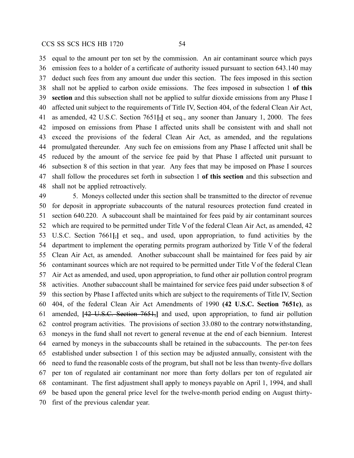equal to the amount per ton set by the commission. An air contaminant source which pays emission fees to a holder of a certificate of authority issued pursuant to section 643.140 may deduct such fees from any amount due under this section. The fees imposed in this section shall not be applied to carbon oxide emissions. The fees imposed in subsection 1 **of this section** and this subsection shall not be applied to sulfur dioxide emissions from any Phase I affected unit subject to the requirements of Title IV, Section 404, of the federal Clean Air Act, as amended, 42 U.S.C. Section 7651**[**,**]** et seq., any sooner than January 1, 2000. The fees imposed on emissions from Phase I affected units shall be consistent with and shall not exceed the provisions of the federal Clean Air Act, as amended, and the regulations promulgated thereunder. Any such fee on emissions from any Phase I affected unit shall be reduced by the amount of the service fee paid by that Phase I affected unit pursuant to subsection 8 of this section in that year. Any fees that may be imposed on Phase I sources shall follow the procedures set forth in subsection 1 **of this section** and this subsection and shall not be applied retroactively.

 5. Moneys collected under this section shall be transmitted to the director of revenue for deposit in appropriate subaccounts of the natural resources protection fund created in section 640.220. A subaccount shall be maintained for fees paid by air contaminant sources which are required to be permitted under Title Vof the federal Clean Air Act, as amended, 42 U.S.C. Section 7661**[**,**]** et seq., and used, upon appropriation, to fund activities by the department to implement the operating permits program authorized by Title V of the federal Clean Air Act, as amended. Another subaccount shall be maintained for fees paid by air contaminant sources which are not required to be permitted under Title Vof the federal Clean Air Act as amended, and used, upon appropriation, to fund other air pollution control program activities. Another subaccount shall be maintained for service fees paid under subsection 8 of this section by Phase I affected units which are subject to the requirements of Title IV, Section 404, of the federal Clean Air Act Amendments of 1990 **(42 U.S.C. Section 7651c)**, as amended, **[**42 U.S.C. Section 7651,**]** and used, upon appropriation, to fund air pollution control program activities. The provisions of section 33.080 to the contrary notwithstanding, moneys in the fund shall not revert to general revenue at the end of each biennium. Interest earned by moneys in the subaccounts shall be retained in the subaccounts. The per-ton fees established under subsection 1 of this section may be adjusted annually, consistent with the need to fund the reasonable costs of the program, but shall not be less than twenty-five dollars per ton of regulated air contaminant nor more than forty dollars per ton of regulated air contaminant. The first adjustment shall apply to moneys payable on April 1, 1994, and shall be based upon the general price level for the twelve-month period ending on August thirty-first of the previous calendar year.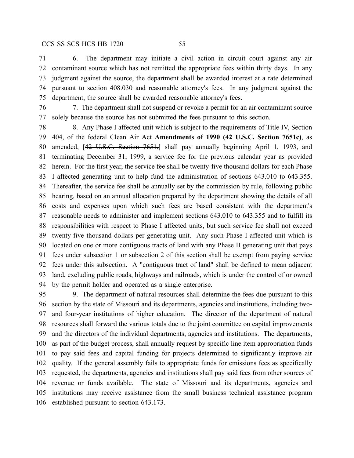6. The department may initiate a civil action in circuit court against any air contaminant source which has not remitted the appropriate fees within thirty days. In any judgment against the source, the department shall be awarded interest at a rate determined pursuant to section 408.030 and reasonable attorney's fees. In any judgment against the department, the source shall be awarded reasonable attorney's fees.

 7. The department shall not suspend or revoke a permit for an air contaminant source solely because the source has not submitted the fees pursuant to this section.

 8. Any Phase I affected unit which is subject to the requirements of Title IV, Section 404, of the federal Clean Air Act **Amendments of 1990 (42 U.S.C. Section 7651c)**, as amended, **[**42 U.S.C. Section 7651,**]** shall pay annually beginning April 1, 1993, and terminating December 31, 1999, a service fee for the previous calendar year as provided herein. For the first year, the service fee shall be twenty-five thousand dollars for each Phase I affected generating unit to help fund the administration of sections 643.010 to 643.355. Thereafter, the service fee shall be annually set by the commission by rule, following public hearing, based on an annual allocation prepared by the department showing the details of all costs and expenses upon which such fees are based consistent with the department's reasonable needs to administer and implement sections 643.010 to 643.355 and to fulfill its responsibilities with respect to Phase I affected units, but such service fee shall not exceed twenty-five thousand dollars per generating unit. Any such Phase I affected unit which is located on one or more contiguous tracts of land with any Phase II generating unit that pays fees under subsection 1 or subsection 2 of this section shall be exempt from paying service fees under this subsection. A "contiguous tract of land" shall be defined to mean adjacent land, excluding public roads, highways and railroads, which is under the control of or owned by the permit holder and operated as a single enterprise.

 9. The department of natural resources shall determine the fees due pursuant to this section by the state of Missouri and its departments, agencies and institutions, including two- and four-year institutions of higher education. The director of the department of natural resources shall forward the various totals due to the joint committee on capital improvements and the directors of the individual departments, agencies and institutions. The departments, as part of the budget process, shall annually request by specific line item appropriation funds to pay said fees and capital funding for projects determined to significantly improve air quality. If the general assembly fails to appropriate funds for emissions fees as specifically requested, the departments, agencies and institutions shall pay said fees from other sources of revenue or funds available. The state of Missouri and its departments, agencies and institutions may receive assistance from the small business technical assistance program established pursuant to section 643.173.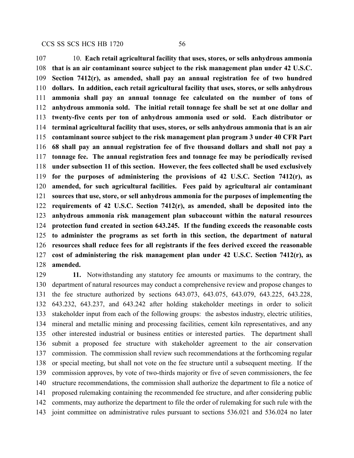10. **Each retail agricultural facility that uses, stores, or sells anhydrous ammonia that is an air contaminant source subject to the risk management plan under 42 U.S.C. Section 7412(r), as amended, shall pay an annual registration fee of two hundred dollars. In addition, each retail agricultural facility that uses, stores, or sells anhydrous ammonia shall pay an annual tonnage fee calculated on the number of tons of anhydrous ammonia sold. The initial retail tonnage fee shall be set at one dollar and twenty-five cents per ton of anhydrous ammonia used or sold. Each distributor or terminal agricultural facility that uses, stores, or sells anhydrous ammonia that is an air contaminant source subject to the risk management plan program 3 under 40 CFR Part 68 shall pay an annual registration fee of five thousand dollars and shall not pay a tonnage fee. The annual registration fees and tonnage fee may be periodically revised under subsection 11 of this section. However, the fees collected shall be used exclusively for the purposes of administering the provisions of 42 U.S.C. Section 7412(r), as amended, for such agricultural facilities. Fees paid by agricultural air contaminant sources that use, store, or sell anhydrous ammonia for the purposes of implementing the requirements of 42 U.S.C. Section 7412(r), as amended, shall be deposited into the anhydrous ammonia risk management plan subaccount within the natural resources protection fund created in section 643.245. If the funding exceeds the reasonable costs to administer the programs as set forth in this section, the department of natural resources shall reduce fees for all registrants if the fees derived exceed the reasonable cost of administering the risk management plan under 42 U.S.C. Section 7412(r), as amended.**

 **11.** Notwithstanding any statutory fee amounts or maximums to the contrary, the department of natural resources may conduct a comprehensive review and propose changes to the fee structure authorized by sections 643.073, 643.075, 643.079, 643.225, 643.228, 643.232, 643.237, and 643.242 after holding stakeholder meetings in order to solicit stakeholder input from each of the following groups: the asbestos industry, electric utilities, mineral and metallic mining and processing facilities, cement kiln representatives, and any other interested industrial or business entities or interested parties. The department shall submit a proposed fee structure with stakeholder agreement to the air conservation commission. The commission shall review such recommendations at the forthcoming regular or special meeting, but shall not vote on the fee structure until a subsequent meeting. If the commission approves, by vote of two-thirds majority or five of seven commissioners, the fee structure recommendations, the commission shall authorize the department to file a notice of proposed rulemaking containing the recommended fee structure, and after considering public comments, may authorize the department to file the order of rulemaking for such rule with the joint committee on administrative rules pursuant to sections 536.021 and 536.024 no later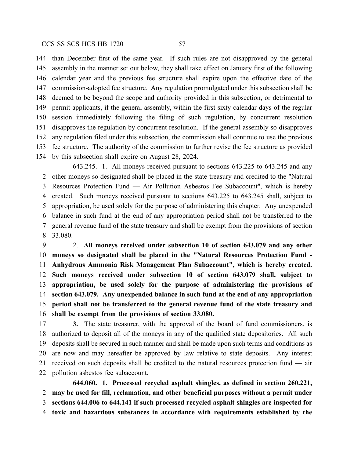than December first of the same year. If such rules are not disapproved by the general assembly in the manner set out below, they shall take effect on January first of the following calendar year and the previous fee structure shall expire upon the effective date of the commission-adopted fee structure. Any regulation promulgated under this subsection shall be deemed to be beyond the scope and authority provided in this subsection, or detrimental to permit applicants, if the general assembly, within the first sixty calendar days of the regular session immediately following the filing of such regulation, by concurrent resolution disapproves the regulation by concurrent resolution. If the general assembly so disapproves any regulation filed under this subsection, the commission shall continue to use the previous fee structure. The authority of the commission to further revise the fee structure as provided by this subsection shall expire on August 28, 2024.

643.245. 1. All moneys received pursuant to sections 643.225 to 643.245 and any other moneys so designated shall be placed in the state treasury and credited to the "Natural Resources Protection Fund — Air Pollution Asbestos Fee Subaccount", which is hereby created. Such moneys received pursuant to sections 643.225 to 643.245 shall, subject to appropriation, be used solely for the purpose of administering this chapter. Any unexpended balance in such fund at the end of any appropriation period shall not be transferred to the general revenue fund of the state treasury and shall be exempt from the provisions of section 33.080.

 2. **All moneys received under subsection 10 of section 643.079 and any other moneys so designated shall be placed in the "Natural Resources Protection Fund - Anhydrous Ammonia Risk Management Plan Subaccount", which is hereby created. Such moneys received under subsection 10 of section 643.079 shall, subject to appropriation, be used solely for the purpose of administering the provisions of section 643.079. Any unexpended balance in such fund at the end of any appropriation period shall not be transferred to the general revenue fund of the state treasury and shall be exempt from the provisions of section 33.080.**

 **3.** The state treasurer, with the approval of the board of fund commissioners, is authorized to deposit all of the moneys in any of the qualified state depositories. All such deposits shall be secured in such manner and shall be made upon such terms and conditions as are now and may hereafter be approved by law relative to state deposits. Any interest received on such deposits shall be credited to the natural resources protection fund — air pollution asbestos fee subaccount.

**644.060. 1. Processed recycled asphalt shingles, as defined in section 260.221, may be used for fill, reclamation, and other beneficial purposes without a permit under sections 644.006 to 644.141 if such processed recycled asphalt shingles are inspected for toxic and hazardous substances in accordance with requirements established by the**